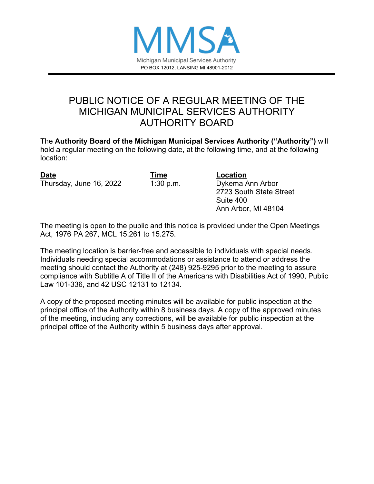

# PUBLIC NOTICE OF A REGULAR MEETING OF THE MICHIGAN MUNICIPAL SERVICES AUTHORITY AUTHORITY BOARD

The **Authority Board of the Michigan Municipal Services Authority ("Authority")** will hold a regular meeting on the following date, at the following time, and at the following location:

| <b>Date</b>             |  |
|-------------------------|--|
| Thursday, June 16, 2022 |  |

**Date Time Location** Dykema Ann Arbor 2723 South State Street Suite 400 Ann Arbor, MI 48104

The meeting is open to the public and this notice is provided under the Open Meetings Act, 1976 PA 267, MCL 15.261 to 15.275.

The meeting location is barrier-free and accessible to individuals with special needs. Individuals needing special accommodations or assistance to attend or address the meeting should contact the Authority at (248) 925-9295 prior to the meeting to assure compliance with Subtitle A of Title II of the Americans with Disabilities Act of 1990, Public Law 101-336, and 42 USC 12131 to 12134.

A copy of the proposed meeting minutes will be available for public inspection at the principal office of the Authority within 8 business days. A copy of the approved minutes of the meeting, including any corrections, will be available for public inspection at the principal office of the Authority within 5 business days after approval.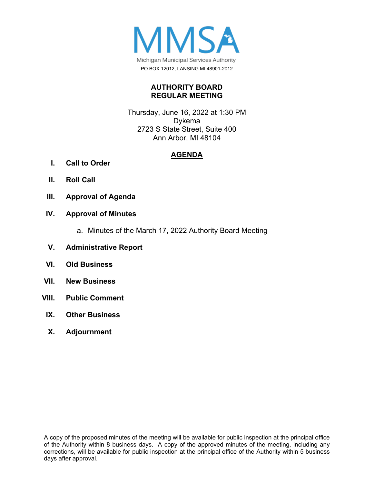

#### **AUTHORITY BOARD REGULAR MEETING**

Thursday, June 16, 2022 at 1:30 PM Dykema 2723 S State Street, Suite 400 Ann Arbor, MI 48104

#### **AGENDA**

- **I. Call to Order**
- **II. Roll Call**
- **III. Approval of Agenda**

#### **IV. Approval of Minutes**

- a. Minutes of the March 17, 2022 Authority Board Meeting
- **V. Administrative Report**
- **VI. Old Business**
- **VII. New Business**
- **VIII. Public Comment**
	- **IX. Other Business**
	- **X. Adjournment**

A copy of the proposed minutes of the meeting will be available for public inspection at the principal office of the Authority within 8 business days. A copy of the approved minutes of the meeting, including any corrections, will be available for public inspection at the principal office of the Authority within 5 business days after approval.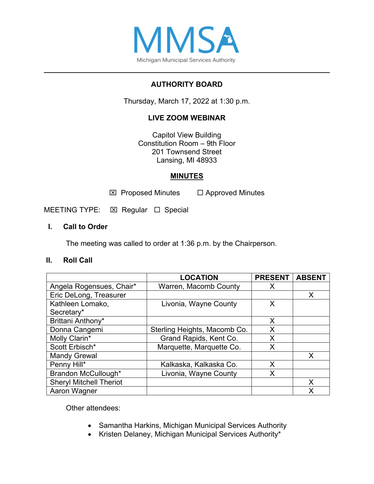

## **AUTHORITY BOARD**

Thursday, March 17, 2022 at 1:30 p.m.

## **LIVE ZOOM WEBINAR**

Capitol View Building Constitution Room – 9th Floor 201 Townsend Street Lansing, MI 48933

#### **MINUTES**

 $\boxtimes$  Proposed Minutes  $\Box$  Approved Minutes

MEETING TYPE:  $\boxtimes$  Regular  $\Box$  Special

#### **I. Call to Order**

The meeting was called to order at 1:36 p.m. by the Chairperson.

#### **II. Roll Call**

|                                | <b>LOCATION</b>              | <b>PRESENT</b> | <b>ABSENT</b> |
|--------------------------------|------------------------------|----------------|---------------|
| Angela Rogensues, Chair*       | Warren, Macomb County        | X              |               |
| Eric DeLong, Treasurer         |                              |                | X             |
| Kathleen Lomako,               | Livonia, Wayne County        | X              |               |
| Secretary*                     |                              |                |               |
| Brittani Anthony*              |                              | X              |               |
| Donna Cangemi                  | Sterling Heights, Macomb Co. | X              |               |
| Molly Clarin*                  | Grand Rapids, Kent Co.       | X              |               |
| Scott Erbisch*                 | Marquette, Marquette Co.     | X              |               |
| <b>Mandy Grewal</b>            |                              |                | X             |
| Penny Hill*                    | Kalkaska, Kalkaska Co.       | X              |               |
| Brandon McCullough*            | Livonia, Wayne County        | Χ              |               |
| <b>Sheryl Mitchell Theriot</b> |                              |                | x             |
| Aaron Wagner                   |                              |                | Χ             |

Other attendees:

- Samantha Harkins, Michigan Municipal Services Authority
- Kristen Delaney, Michigan Municipal Services Authority\*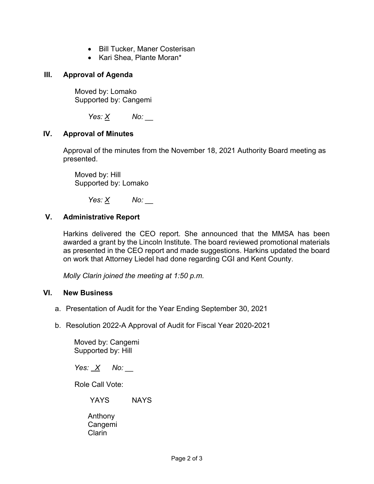- Bill Tucker, Maner Costerisan
- Kari Shea, Plante Moran\*

#### **III. Approval of Agenda**

Moved by: Lomako Supported by: Cangemi

 *Yes: X No: \_\_* 

#### **IV. Approval of Minutes**

Approval of the minutes from the November 18, 2021 Authority Board meeting as presented.

Moved by: Hill Supported by: Lomako

 *Yes: X No: \_\_*

#### **V. Administrative Report**

Harkins delivered the CEO report. She announced that the MMSA has been awarded a grant by the Lincoln Institute. The board reviewed promotional materials as presented in the CEO report and made suggestions. Harkins updated the board on work that Attorney Liedel had done regarding CGI and Kent County.

*Molly Clarin joined the meeting at 1:50 p.m.*

#### **VI. New Business**

- a. Presentation of Audit for the Year Ending September 30, 2021
- b. Resolution 2022-A Approval of Audit for Fiscal Year 2020-2021

Moved by: Cangemi Supported by: Hill

*Yes: X No: \_\_*

Role Call Vote:

YAYS NAYS

Anthony Cangemi Clarin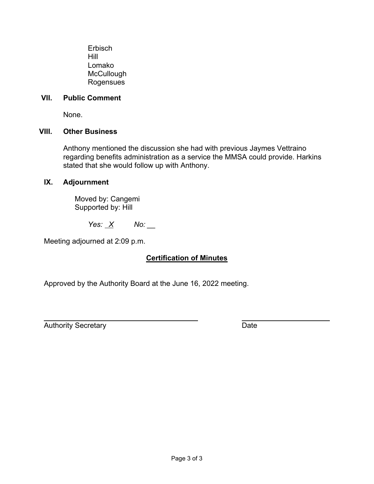Erbisch Hill Lomako **McCullough** Rogensues

#### **VII. Public Comment**

None.

#### **VIII. Other Business**

Anthony mentioned the discussion she had with previous Jaymes Vettraino regarding benefits administration as a service the MMSA could provide. Harkins stated that she would follow up with Anthony.

#### **IX. Adjournment**

Moved by: Cangemi Supported by: Hill

*Yes: X No: \_\_*

Meeting adjourned at 2:09 p.m.

#### **Certification of Minutes**

Approved by the Authority Board at the June 16, 2022 meeting.

Authority Secretary **Date** 

 $\overline{a}$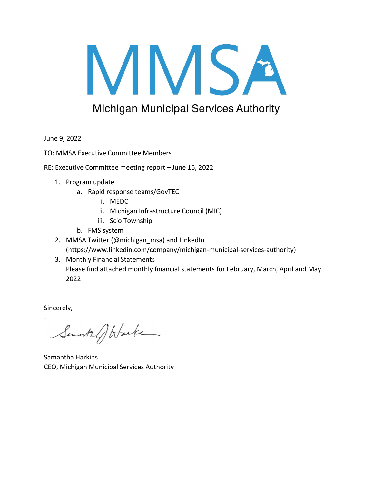# MMSA

# **Michigan Municipal Services Authority**

June 9, 2022

TO: MMSA Executive Committee Members

- RE: Executive Committee meeting report June 16, 2022
	- 1. Program update
		- a. Rapid response teams/GovTEC
			- i. MEDC
			- ii. Michigan Infrastructure Council (MIC)
			- iii. Scio Township
		- b. FMS system
	- 2. MMSA Twitter (@michigan\_msa) and LinkedIn (https://www.linkedin.com/company/michigan-municipal-services-authority)
	- 3. Monthly Financial Statements Please find attached monthly financial statements for February, March, April and May 2022

Sincerely,

Semants of Harke

Samantha Harkins CEO, Michigan Municipal Services Authority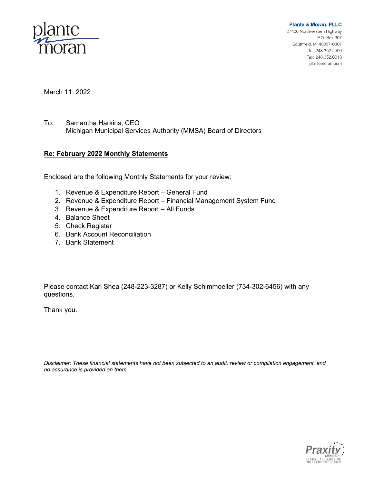

**Plante & Moran, PLLC** 27400 Northwestern Highway P.O. Box 307 Southfield, MI 48037-0307 Tel: 248.352.2500 Fax: 248.352.0018

plantemoran.com

March 11, 2022

To: Samantha Harkins, CEO Michigan Municipal Services Authority (MMSA) Board of Directors

#### **Re: February 2022 Monthly Statements**

Enclosed are the following Monthly Statements for your review:

- 1. Revenue & Expenditure Report General Fund
- 2. Revenue & Expenditure Report Financial Management System Fund
- 3. Revenue & Expenditure Report All Funds
- 4. Balance Sheet
- 5. Check Register
- 6. Bank Account Reconciliation
- 7. Bank Statement

Please contact Kari Shea (248-223-3287) or Kelly Schimmoeller (734-302-6456) with any questions.

Thank you.

*Disclaimer: These financial statements have not been subjected to an audit, review or compilation engagement, and no assurance is provided on them.*

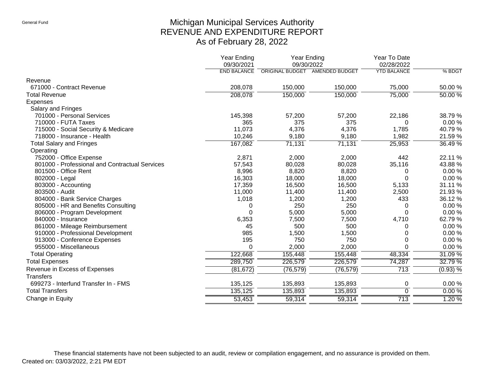# Michigan Municipal Services Authority REVENUE AND EXPENDITURE REPORT As of February 28, 2022

|                                                | <b>Year Ending</b><br>09/30/2021 | <b>Year Ending</b><br>09/30/2022 |           | Year To Date<br>02/28/2022 |            |
|------------------------------------------------|----------------------------------|----------------------------------|-----------|----------------------------|------------|
|                                                | <b>END BALANCE</b>               | ORIGINAL BUDGET AMENDED BUDGET   |           | <b>YTD BALANCE</b>         | % BDGT     |
| Revenue                                        |                                  |                                  |           |                            |            |
| 671000 - Contract Revenue                      | 208,078                          | 150,000                          | 150,000   | 75,000                     | 50.00 %    |
| <b>Total Revenue</b>                           | 208,078                          | 150,000                          | 150,000   | 75,000                     | $50.00\%$  |
| <b>Expenses</b>                                |                                  |                                  |           |                            |            |
| Salary and Fringes                             |                                  |                                  |           |                            |            |
| 701000 - Personal Services                     | 145,398                          | 57,200                           | 57,200    | 22,186                     | 38.79%     |
| 710000 - FUTA Taxes                            | 365                              | 375                              | 375       | 0                          | 0.00%      |
| 715000 - Social Security & Medicare            | 11,073                           | 4,376                            | 4,376     | 1,785                      | 40.79%     |
| 718000 - Insurance - Health                    | 10,246                           | 9,180                            | 9,180     | 1,982                      | 21.59%     |
| <b>Total Salary and Fringes</b>                | 167,082                          | 71,131                           | 71,131    | 25,953                     | 36.49 %    |
| Operating                                      |                                  |                                  |           |                            |            |
| 752000 - Office Expense                        | 2,871                            | 2,000                            | 2,000     | 442                        | 22.11 %    |
| 801000 - Professional and Contractual Services | 57,543                           | 80,028                           | 80,028    | 35,116                     | 43.88%     |
| 801500 - Office Rent                           | 8,996                            | 8,820                            | 8,820     | 0                          | 0.00%      |
| 802000 - Legal                                 | 16,303                           | 18,000                           | 18,000    | $\Omega$                   | 0.00%      |
| 803000 - Accounting                            | 17,359                           | 16,500                           | 16,500    | 5,133                      | 31.11 %    |
| 803500 - Audit                                 | 11,000                           | 11,400                           | 11,400    | 2,500                      | 21.93%     |
| 804000 - Bank Service Charges                  | 1,018                            | 1,200                            | 1,200     | 433                        | 36.12%     |
| 805000 - HR and Benefits Consulting            | 0                                | 250                              | 250       | 0                          | 0.00%      |
| 806000 - Program Development                   | 0                                | 5,000                            | 5,000     | $\Omega$                   | 0.00%      |
| 840000 - Insurance                             | 6,353                            | 7,500                            | 7,500     | 4,710                      | 62.79%     |
| 861000 - Mileage Reimbursement                 | 45                               | 500                              | 500       | 0                          | 0.00%      |
| 910000 - Professional Development              | 985                              | 1,500                            | 1,500     | 0                          | 0.00%      |
| 913000 - Conference Expenses                   | 195                              | 750                              | 750       | $\Omega$                   | 0.00%      |
| 955000 - Miscellaneous                         | 0                                | 2,000                            | 2,000     | $\Omega$                   | 0.00%      |
| <b>Total Operating</b>                         | 122,668                          | 155,448                          | 155,448   | 48,334                     | 31.09%     |
| <b>Total Expenses</b>                          | 289,750                          | 226,579                          | 226,579   | 74,287                     | 32.79%     |
| Revenue in Excess of Expenses                  | (81, 672)                        | (76, 579)                        | (76, 579) | 713                        | $(0.93)$ % |
| <b>Transfers</b>                               |                                  |                                  |           |                            |            |
| 699273 - Interfund Transfer In - FMS           | 135,125                          | 135,893                          | 135,893   | 0                          | 0.00%      |
| <b>Total Transfers</b>                         | 135,125                          | 135,893                          | 135,893   | $\Omega$                   | 0.00%      |
| Change in Equity                               | 53,453                           | 59,314                           | 59,314    | 713                        | 1.20%      |
|                                                |                                  |                                  |           |                            |            |

These financial statements have not been subjected to an audit, review or compilation engagement, and no assurance is provided on them. Created on: 03/03/2022, 2:21 PM EDT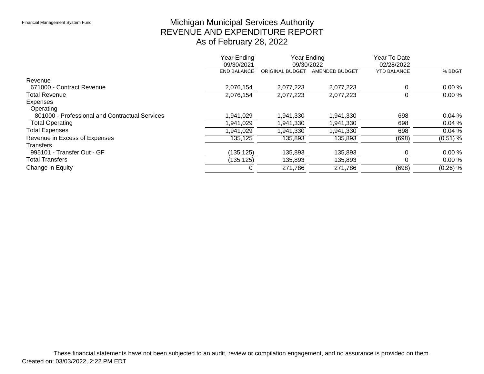# Michigan Municipal Services Authority REVENUE AND EXPENDITURE REPORT As of February 28, 2022

|                                                | Year Ending<br>09/30/2021 | 09/30/2022      | Year Ending    | Year To Date<br>02/28/2022 |            |
|------------------------------------------------|---------------------------|-----------------|----------------|----------------------------|------------|
|                                                | <b>END BALANCE</b>        | ORIGINAL BUDGET | AMENDED BUDGET | <b>YTD BALANCE</b>         | % BDGT     |
| Revenue                                        |                           |                 |                |                            |            |
| 671000 - Contract Revenue                      | 2,076,154                 | 2,077,223       | 2,077,223      |                            | 0.00%      |
| <b>Total Revenue</b>                           | 2,076,154                 | 2,077,223       | 2,077,223      | U                          | $0.00\%$   |
| Expenses                                       |                           |                 |                |                            |            |
| Operating                                      |                           |                 |                |                            |            |
| 801000 - Professional and Contractual Services | 1,941,029                 | 1,941,330       | 1,941,330      | 698                        | 0.04%      |
| <b>Total Operating</b>                         | 1,941,029                 | 1,941,330       | 1,941,330      | 698                        | $0.04\%$   |
| <b>Total Expenses</b>                          | ,941,029                  | 1,941,330       | ,941,330       | 698                        | $0.04\%$   |
| Revenue in Excess of Expenses                  | 135,125                   | 135,893         | 135,893        | (698)                      | (0.51) %   |
| <b>Transfers</b>                               |                           |                 |                |                            |            |
| 995101 - Transfer Out - GF                     | (135, 125)                | 135,893         | 135,893        |                            | 0.00%      |
| <b>Total Transfers</b>                         | (135, 125)                | 135,893         | 135,893        |                            | 0.00%      |
| Change in Equity                               |                           | 271,786         | 271,786        | (698)                      | $(0.26)$ % |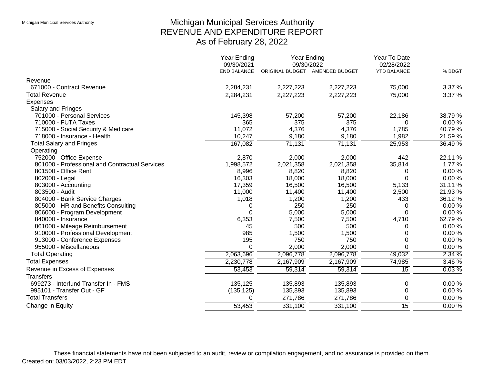# Michigan Municipal Services Authority REVENUE AND EXPENDITURE REPORT As of February 28, 2022

|                                                | <b>Year Ending</b><br>09/30/2021 |           | Year Ending<br>09/30/2022      | Year To Date<br>02/28/2022 |           |
|------------------------------------------------|----------------------------------|-----------|--------------------------------|----------------------------|-----------|
|                                                | <b>END BALANCE</b>               |           | ORIGINAL BUDGET AMENDED BUDGET | <b>YTD BALANCE</b>         | % BDGT    |
| Revenue                                        |                                  |           |                                |                            |           |
| 671000 - Contract Revenue                      | 2,284,231                        | 2,227,223 | 2,227,223                      | 75,000                     | 3.37 %    |
| <b>Total Revenue</b>                           | 2,284,231                        | 2,227,223 | 2,227,223                      | 75,000                     | 3.37%     |
| <b>Expenses</b>                                |                                  |           |                                |                            |           |
| Salary and Fringes                             |                                  |           |                                |                            |           |
| 701000 - Personal Services                     | 145,398                          | 57,200    | 57,200                         | 22,186                     | 38.79%    |
| 710000 - FUTA Taxes                            | 365                              | 375       | 375                            | 0                          | 0.00%     |
| 715000 - Social Security & Medicare            | 11,072                           | 4,376     | 4,376                          | 1,785                      | 40.79%    |
| 718000 - Insurance - Health                    | 10,247                           | 9,180     | 9,180                          | 1,982                      | 21.59%    |
| <b>Total Salary and Fringes</b>                | 167,082                          | 71,131    | 71,131                         | 25,953                     | 36.49 %   |
| Operating                                      |                                  |           |                                |                            |           |
| 752000 - Office Expense                        | 2,870                            | 2,000     | 2,000                          | 442                        | 22.11 %   |
| 801000 - Professional and Contractual Services | 1,998,572                        | 2,021,358 | 2,021,358                      | 35,814                     | 1.77 %    |
| 801500 - Office Rent                           | 8,996                            | 8,820     | 8,820                          | 0                          | 0.00%     |
| 802000 - Legal                                 | 16,303                           | 18,000    | 18,000                         | $\Omega$                   | 0.00%     |
| 803000 - Accounting                            | 17,359                           | 16,500    | 16,500                         | 5,133                      | 31.11 %   |
| 803500 - Audit                                 | 11,000                           | 11,400    | 11,400                         | 2,500                      | 21.93%    |
| 804000 - Bank Service Charges                  | 1,018                            | 1,200     | 1,200                          | 433                        | 36.12%    |
| 805000 - HR and Benefits Consulting            | 0                                | 250       | 250                            | 0                          | $0.00 \%$ |
| 806000 - Program Development                   | $\Omega$                         | 5,000     | 5,000                          | $\Omega$                   | 0.00%     |
| 840000 - Insurance                             | 6,353                            | 7,500     | 7,500                          | 4,710                      | 62.79%    |
| 861000 - Mileage Reimbursement                 | 45                               | 500       | 500                            | 0                          | 0.00%     |
| 910000 - Professional Development              | 985                              | 1,500     | 1,500                          | 0                          | 0.00%     |
| 913000 - Conference Expenses                   | 195                              | 750       | 750                            | 0                          | 0.00%     |
| 955000 - Miscellaneous                         | $\Omega$                         | 2,000     | 2,000                          | 0                          | 0.00%     |
| <b>Total Operating</b>                         | 2,063,696                        | 2,096,778 | 2,096,778                      | 49,032                     | 2.34%     |
| <b>Total Expenses</b>                          | 2,230,778                        | 2,167,909 | 2,167,909                      | 74,985                     | $3.46\%$  |
| Revenue in Excess of Expenses                  | 53,453                           | 59,314    | 59,314                         | $\overline{15}$            | $0.03\%$  |
| <b>Transfers</b>                               |                                  |           |                                |                            |           |
| 699273 - Interfund Transfer In - FMS           | 135,125                          | 135,893   | 135,893                        | 0                          | 0.00%     |
| 995101 - Transfer Out - GF                     | (135, 125)                       | 135,893   | 135,893                        | 0                          | 0.00%     |
| <b>Total Transfers</b>                         | 0                                | 271,786   | 271,786                        | $\overline{0}$             | $0.00\%$  |
| Change in Equity                               | 53,453                           | 331,100   | 331,100                        | 15                         | 0.00%     |
|                                                |                                  |           |                                |                            |           |

These financial statements have not been subjected to an audit, review or compilation engagement, and no assurance is provided on them. Created on: 03/03/2022, 2:23 PM EDT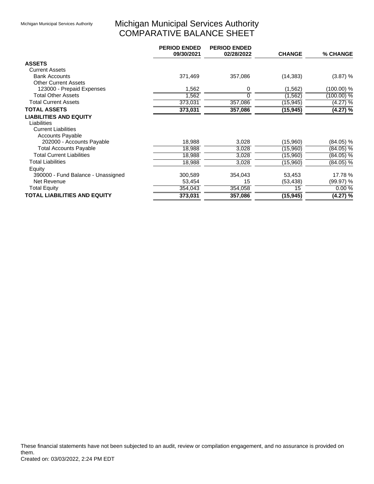# Michigan Municipal Services Authority COMPARATIVE BALANCE SHEET

|                                     | <b>PERIOD ENDED</b><br>09/30/2021 | <b>PERIOD ENDED</b><br>02/28/2022 | <b>CHANGE</b> | % CHANGE     |
|-------------------------------------|-----------------------------------|-----------------------------------|---------------|--------------|
| <b>ASSETS</b>                       |                                   |                                   |               |              |
| <b>Current Assets</b>               |                                   |                                   |               |              |
| <b>Bank Accounts</b>                | 371,469                           | 357,086                           | (14, 383)     | (3.87) %     |
| <b>Other Current Assets</b>         |                                   |                                   |               |              |
| 123000 - Prepaid Expenses           | 1,562                             | 0                                 | (1, 562)      | (100.00) %   |
| <b>Total Other Assets</b>           | 1,562                             | $\Omega$                          | (1, 562)      | $(100.00)\%$ |
| <b>Total Current Assets</b>         | 373,031                           | 357,086                           | (15, 945)     | (4.27) %     |
| <b>TOTAL ASSETS</b>                 | 373,031                           | 357,086                           | (15, 945)     | $(4.27)$ %   |
| <b>LIABILITIES AND EQUITY</b>       |                                   |                                   |               |              |
| Liabilities                         |                                   |                                   |               |              |
| <b>Current Liabilities</b>          |                                   |                                   |               |              |
| <b>Accounts Payable</b>             |                                   |                                   |               |              |
| 202000 - Accounts Payable           | 18,988                            | 3,028                             | (15,960)      | (84.05) %    |
| <b>Total Accounts Payable</b>       | 18,988                            | 3,028                             | (15,960)      | $(84.05)\%$  |
| <b>Total Current Liabilities</b>    | 18,988                            | 3,028                             | (15,960)      | $(84.05)\%$  |
| <b>Total Liabilities</b>            | 18,988                            | 3,028                             | (15,960)      | (84.05) %    |
| Equity                              |                                   |                                   |               |              |
| 390000 - Fund Balance - Unassigned  | 300,589                           | 354,043                           | 53,453        | 17.78 %      |
| Net Revenue                         | 53,454                            | 15                                | (53, 438)     | (99.97) %    |
| <b>Total Equity</b>                 | 354,043                           | 354,058                           | 15            | 0.00%        |
| <b>TOTAL LIABILITIES AND EQUITY</b> | 373,031                           | 357,086                           | (15, 945)     | $(4.27)$ %   |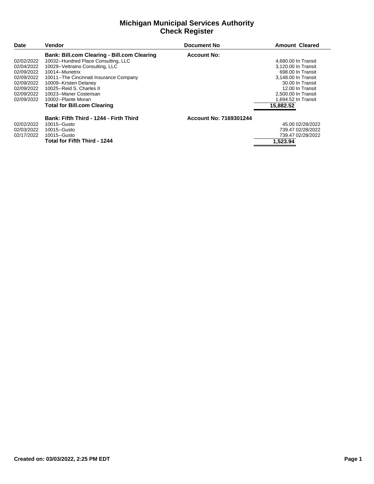#### **Michigan Municipal Services Authority Check Register**

| Date       | Vendor                                             | <b>Document No</b>     | <b>Amount Cleared</b> |
|------------|----------------------------------------------------|------------------------|-----------------------|
|            | <b>Bank: Bill.com Clearing - Bill.com Clearing</b> | <b>Account No:</b>     |                       |
| 02/02/2022 | 10032--Hundred Place Consulting, LLC               |                        | 4.680.00 In Transit   |
| 02/04/2022 | 10029-- Vettraino Consulting, LLC                  |                        | 3.120.00 In Transit   |
| 02/09/2022 | 10014--Munetrix                                    |                        | 698.00 In Transit     |
| 02/09/2022 | 10011--The Cincinnati Insurance Company            |                        | 3.148.00 In Transit   |
| 02/09/2022 | 10009--Kristen Delaney                             |                        | 30.00 In Transit      |
| 02/09/2022 | 10025--Reid S. Charles II                          |                        | 12.00 In Transit      |
| 02/09/2022 | 10023--Maner Costerisan                            |                        | 2.500.00 In Transit   |
| 02/09/2022 | 10002--Plante Moran                                |                        | 1.694.52 In Transit   |
|            | <b>Total for Bill.com Clearing</b>                 |                        | 15,882.52             |
|            | Bank: Fifth Third - 1244 - Firth Third             | Account No: 7169301244 |                       |
| 02/02/2022 | 10015--Gusto                                       |                        | 45.00 02/28/2022      |
| 02/03/2022 | 10015--Gusto                                       |                        | 739.47 02/28/2022     |
| 02/17/2022 | 10015--Gusto                                       |                        | 739.47 02/28/2022     |
|            | <b>Total for Fifth Third - 1244</b>                |                        | 1.523.94              |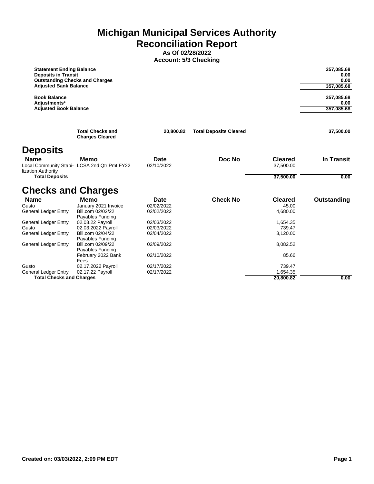**Michigan Municipal Services Authority Reconciliation Report**

**As Of 02/28/2022 Account: 5/3 Checking**

| <b>Statement Ending Balance</b><br><b>Deposits in Transit</b><br><b>Outstanding Checks and Charges</b><br><b>Adjusted Bank Balance</b> |                                                   |            |                               |                | 357,085.68<br>0.00<br>0.00<br>357,085.68 |
|----------------------------------------------------------------------------------------------------------------------------------------|---------------------------------------------------|------------|-------------------------------|----------------|------------------------------------------|
| <b>Book Balance</b>                                                                                                                    |                                                   |            |                               |                | 357,085.68                               |
| Adiustments*                                                                                                                           |                                                   |            |                               |                | 0.00                                     |
| <b>Adjusted Book Balance</b>                                                                                                           |                                                   |            |                               |                | 357,085.68                               |
|                                                                                                                                        | <b>Total Checks and</b><br><b>Charges Cleared</b> | 20,800.82  | <b>Total Deposits Cleared</b> |                | 37,500.00                                |
| <b>Deposits</b>                                                                                                                        |                                                   |            |                               |                |                                          |
| <b>Name</b>                                                                                                                            | Memo                                              | Date       | Doc No                        | <b>Cleared</b> | <b>In Transit</b>                        |
| lization Authority                                                                                                                     | Local Community Stabi- LCSA 2nd Qtr Pmt FY22      | 02/10/2022 |                               | 37,500.00      |                                          |
| <b>Total Deposits</b>                                                                                                                  |                                                   |            |                               | 37,500.00      | 0.00                                     |
| <b>Checks and Charges</b>                                                                                                              |                                                   |            |                               |                |                                          |
| <b>Name</b>                                                                                                                            | Memo                                              | Date       | <b>Check No</b>               | <b>Cleared</b> | Outstanding                              |
| Gusto                                                                                                                                  | January 2021 Invoice                              | 02/02/2022 |                               | 45.00          |                                          |
| General Ledger Entry                                                                                                                   | Bill.com 02/02/22                                 | 02/02/2022 |                               | 4,680.00       |                                          |
| General Ledger Entry                                                                                                                   | Payables Funding<br>02.03.22 Payroll              | 02/03/2022 |                               | 1,654.35       |                                          |
| Gusto                                                                                                                                  | 02.03.2022 Payroll                                | 02/03/2022 |                               | 739.47         |                                          |
| General Ledger Entry                                                                                                                   | Bill.com 02/04/22                                 | 02/04/2022 |                               | 3,120.00       |                                          |
|                                                                                                                                        | Payables Funding                                  |            |                               |                |                                          |

| <b>Total Checks and Charges</b> |                                       |            | 20,800.82 | 0.00 |
|---------------------------------|---------------------------------------|------------|-----------|------|
| General Ledger Entry            | 02.17.22 Pavroll                      | 02/17/2022 | 1.654.35  |      |
| Gusto                           | Fees<br>02.17.2022 Payroll            | 02/17/2022 | 739.47    |      |
|                                 | February 2022 Bank                    | 02/10/2022 | 85.66     |      |
| General Ledger Entry            | Bill.com 02/09/22<br>Payables Funding | 02/09/2022 | 8.082.52  |      |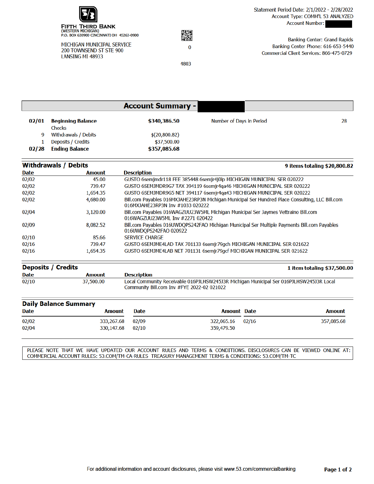

MICHIGAN MUNICIPAL SERVICE 200 TOWNSEND ST STE 900 LANSING MI 48933



4803

**Banking Center: Grand Rapids** Banking Center Phone: 616-653-5440 Commercial Client Services: 866-475-0729

|       |                                    | <b>Account Summary -</b> |                          |    |
|-------|------------------------------------|--------------------------|--------------------------|----|
| 02/01 | <b>Beginning Balance</b><br>Checks | \$340,386.50             | Number of Days in Period | 28 |
| 9     | Withdrawals / Debits               | \$(20,800.82)            |                          |    |
|       | Deposits / Credits                 | \$37,500.00              |                          |    |
| 02/28 | <b>Ending Balance</b>              | \$357,085.68             |                          |    |

| <b>Withdrawals / Debits</b> |               | 9 items totaling \$20,800.82                                                                                                        |
|-----------------------------|---------------|-------------------------------------------------------------------------------------------------------------------------------------|
| <b>Date</b>                 | <b>Amount</b> | <b>Description</b>                                                                                                                  |
| 02/02                       | 45.00         | GUSTO 6semjmdr118 FEE 385448 6semjr4j0lp MICHIGAN MUNICIPAL SER 020222                                                              |
| 02/02                       | 739.47        | GUSTO 6SEMJMDR9G7 TAX 394119 6semir4ga46 MICHIGAN MUNICIPAL SER 020222                                                              |
| 02/02                       | 1,654.35      | GUSTO 6SEMJMDR9G5 NET 394117 6semjr4ga43 MICHIGAN MUNICIPAL SER 020222                                                              |
| 02/02                       | 4.680.00      | Bill.com Payables 016MXJAHE23RP3N Michigan Municipal Ser Hundred Place Consulting, LLC Bill.com<br>016MXJAHE23RP3N Inv #1033 020222 |
| 02/04                       | 3.120.00      | Bill.com Payables 016WAGZUU23W5ML Michigan Municipal Ser Jaymes Vettraino Bill.com<br>016WAG7UU23W5ML Inv #2271 020422              |
| 02/09                       | 8.082.52      | Bill.com Payables 016UWDQPS242FAO Michigan Municipal Ser Multiple Payments Bill.com Payables<br>016UWDOPS242FAO 020922              |
| 02/10                       | 85.66         | <b>SERVICE CHARGE</b>                                                                                                               |
| 02/16                       | 739.47        | GUSTO 6SEMJME4LAD TAX 701133 6semjr79gch MICHIGAN MUNICIPAL SER 021622                                                              |
| 02/16                       | 1,654.35      | GUSTO 6SEMJME4LAB NET 701131 6semir79gcf MICHIGAN MUNICIPAL SER 021622                                                              |

| <b>Deposits / Credits</b> |           | 1 item totaling \$37,500.00                                                                                                           |
|---------------------------|-----------|---------------------------------------------------------------------------------------------------------------------------------------|
| Date                      | Amount    | <b>Description</b>                                                                                                                    |
| 02/10                     | 37,500.00 | Local Community Receivable 016PJLHSW245J3R Michigan Municipal Ser 016PJLHSW245J3R Local<br>Community Bill.com Inv #FYE 2022-02 021022 |

| <b>Daily Balance Summary</b> |                  |             |                    |       |               |
|------------------------------|------------------|-------------|--------------------|-------|---------------|
| Date                         | Amount           | <b>Date</b> | <b>Amount Date</b> |       | <b>Amount</b> |
| 02/02                        | 333,267.68 02/09 |             | 322.065.16         | 02/16 | 357,085.68    |
| 02/04                        | 330,147.68 02/10 |             | 359,479.50         |       |               |

PLEASE NOTE THAT WE HAVE UPDATED OUR ACCOUNT RULES AND TERMS & CONDITIONS. DISCLOSURES CAN BE VIEWED ONLINE AT: COMMERCIAL ACCOUNT RULES: 53.COM/TM-CA-RULES TREASURY MANAGEMENT TERMS & CONDITIONS: 53.COM/TM-TC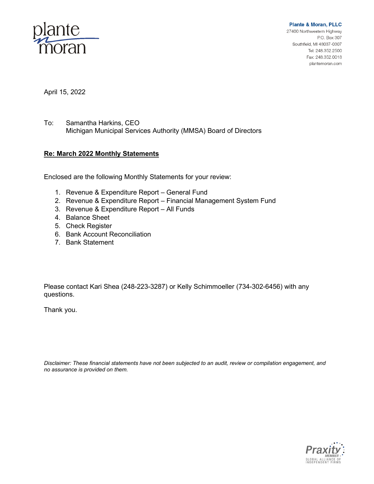

**Plante & Moran, PLLC** 27400 Northwestern Highway P.O. Box 307 Southfield, MI 48037-0307 Tel: 248.352.2500 Fax: 248.352.0018

plantemoran.com

April 15, 2022

To: Samantha Harkins, CEO Michigan Municipal Services Authority (MMSA) Board of Directors

#### **Re: March 2022 Monthly Statements**

Enclosed are the following Monthly Statements for your review:

- 1. Revenue & Expenditure Report General Fund
- 2. Revenue & Expenditure Report Financial Management System Fund
- 3. Revenue & Expenditure Report All Funds
- 4. Balance Sheet
- 5. Check Register
- 6. Bank Account Reconciliation
- 7. Bank Statement

Please contact Kari Shea (248-223-3287) or Kelly Schimmoeller (734-302-6456) with any questions.

Thank you.

*Disclaimer: These financial statements have not been subjected to an audit, review or compilation engagement, and no assurance is provided on them.*

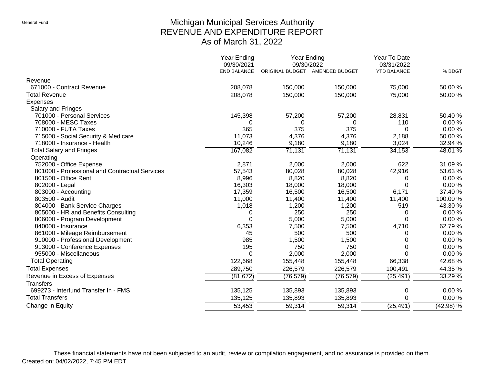# Michigan Municipal Services Authority REVENUE AND EXPENDITURE REPORT As of March 31, 2022

|                                                | Year Ending<br>09/30/2021 | Year Ending<br>09/30/2022 |                                | Year To Date<br>03/31/2022 |             |
|------------------------------------------------|---------------------------|---------------------------|--------------------------------|----------------------------|-------------|
|                                                | <b>END BALANCE</b>        |                           | ORIGINAL BUDGET AMENDED BUDGET | <b>YTD BALANCE</b>         | % BDGT      |
| Revenue                                        |                           |                           |                                |                            |             |
| 671000 - Contract Revenue                      | 208,078                   | 150,000                   | 150,000                        | 75,000                     | 50.00 %     |
| <b>Total Revenue</b>                           | 208,078                   | 150,000                   | 150,000                        | 75,000                     | 50.00%      |
| Expenses                                       |                           |                           |                                |                            |             |
| Salary and Fringes                             |                           |                           |                                |                            |             |
| 701000 - Personal Services                     | 145,398                   | 57,200                    | 57,200                         | 28,831                     | 50.40%      |
| 708000 - MESC Taxes                            | 0                         | 0                         | 0                              | 110                        | 0.00%       |
| 710000 - FUTA Taxes                            | 365                       | 375                       | 375                            | 0                          | 0.00%       |
| 715000 - Social Security & Medicare            | 11,073                    | 4,376                     | 4,376                          | 2,188                      | 50.00 %     |
| 718000 - Insurance - Health                    | 10,246                    | 9,180                     | 9,180                          | 3,024                      | 32.94 %     |
| <b>Total Salary and Fringes</b>                | 167,082                   | 71,131                    | 71,131                         | 34,153                     | 48.01 %     |
| Operating                                      |                           |                           |                                |                            |             |
| 752000 - Office Expense                        | 2,871                     | 2,000                     | 2,000                          | 622                        | 31.09%      |
| 801000 - Professional and Contractual Services | 57,543                    | 80,028                    | 80,028                         | 42,916                     | 53.63%      |
| 801500 - Office Rent                           | 8,996                     | 8,820                     | 8,820                          | 0                          | 0.00%       |
| 802000 - Legal                                 | 16,303                    | 18,000                    | 18,000                         | $\Omega$                   | 0.00%       |
| 803000 - Accounting                            | 17,359                    | 16,500                    | 16,500                         | 6,171                      | 37.40 %     |
| 803500 - Audit                                 | 11,000                    | 11,400                    | 11,400                         | 11,400                     | 100.00%     |
| 804000 - Bank Service Charges                  | 1,018                     | 1,200                     | 1,200                          | 519                        | 43.30 %     |
| 805000 - HR and Benefits Consulting            | 0                         | 250                       | 250                            | 0                          | 0.00%       |
| 806000 - Program Development                   | 0                         | 5,000                     | 5,000                          | $\Omega$                   | 0.00%       |
| 840000 - Insurance                             | 6,353                     | 7,500                     | 7,500                          | 4,710                      | 62.79%      |
| 861000 - Mileage Reimbursement                 | 45                        | 500                       | 500                            | 0                          | 0.00%       |
| 910000 - Professional Development              | 985                       | 1,500                     | 1,500                          | 0                          | 0.00%       |
| 913000 - Conference Expenses                   | 195                       | 750                       | 750                            | $\Omega$                   | 0.00%       |
| 955000 - Miscellaneous                         | 0                         | 2,000                     | 2,000                          | $\Omega$                   | 0.00%       |
| <b>Total Operating</b>                         | 122,668                   | 155,448                   | 155,448                        | 66,338                     | 42.68%      |
| <b>Total Expenses</b>                          | 289,750                   | 226,579                   | 226,579                        | 100,491                    | 44.35 %     |
| Revenue in Excess of Expenses                  | (81, 672)                 | (76, 579)                 | (76, 579)                      | (25, 491)                  | 33.29 %     |
| <b>Transfers</b>                               |                           |                           |                                |                            |             |
| 699273 - Interfund Transfer In - FMS           | 135,125                   | 135,893                   | 135,893                        | 0                          | 0.00%       |
| <b>Total Transfers</b>                         | 135,125                   | 135,893                   | 135,893                        | $\Omega$                   | 0.00%       |
| Change in Equity                               | 53,453                    | 59,314                    | 59,314                         | (25, 491)                  | $(42.98)$ % |

These financial statements have not been subjected to an audit, review or compilation engagement, and no assurance is provided on them. Created on: 04/02/2022, 7:45 PM EDT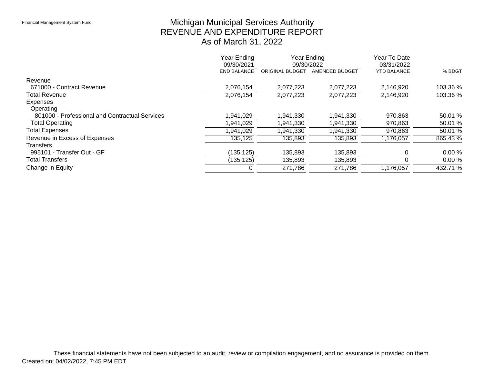# Michigan Municipal Services Authority REVENUE AND EXPENDITURE REPORT As of March 31, 2022

|                                                | Year Ending<br>09/30/2021 | Year Ending<br>09/30/2022 |                | Year To Date<br>03/31/2022 |            |
|------------------------------------------------|---------------------------|---------------------------|----------------|----------------------------|------------|
|                                                | <b>END BALANCE</b>        | <b>ORIGINAL BUDGET</b>    | AMENDED BUDGET | <b>YTD BALANCE</b>         | % BDGT     |
| Revenue                                        |                           |                           |                |                            |            |
| 671000 - Contract Revenue                      | 2,076,154                 | 2,077,223                 | 2,077,223      | 2,146,920                  | 103.36 %   |
| <b>Total Revenue</b>                           | 2,076,154                 | 2,077,223                 | 2,077,223      | 2,146,920                  | $103.36\%$ |
| Expenses                                       |                           |                           |                |                            |            |
| Operating                                      |                           |                           |                |                            |            |
| 801000 - Professional and Contractual Services | 1,941,029                 | 1,941,330                 | 1,941,330      | 970,863                    | 50.01 %    |
| <b>Total Operating</b>                         | ,941,029                  | 1,941,330                 | 1,941,330      | 970,863                    | 50.01%     |
| <b>Total Expenses</b>                          | ,941,029                  | 1,941,330                 | .941,330       | 970,863                    | 50.01%     |
| Revenue in Excess of Expenses                  | 135,125                   | 135,893                   | 135,893        | 1,176,057                  | 865.43 %   |
| <b>Transfers</b>                               |                           |                           |                |                            |            |
| 995101 - Transfer Out - GF                     | (135, 125)                | 135,893                   | 135,893        |                            | 0.00%      |
| <b>Total Transfers</b>                         | (135, 125)                | 135,893                   | 135,893        |                            | 0.00%      |
| Change in Equity                               |                           | 271,786                   | 271,786        | 1,176,057                  | 432.71 %   |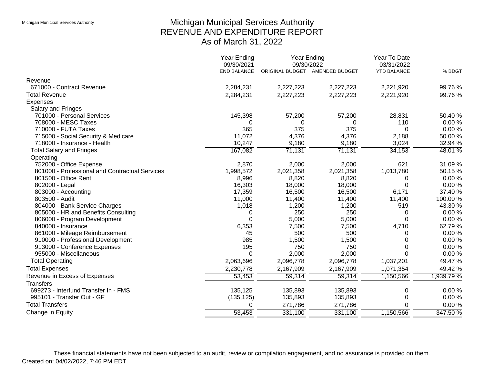# Michigan Municipal Services Authority REVENUE AND EXPENDITURE REPORT As of March 31, 2022

|                                                | <b>Year Ending</b><br>09/30/2021 | Year Ending<br>09/30/2022 |                       | Year To Date<br>03/31/2022 |            |
|------------------------------------------------|----------------------------------|---------------------------|-----------------------|----------------------------|------------|
|                                                | <b>END BALANCE</b>               | <b>ORIGINAL BUDGET</b>    | <b>AMENDED BUDGET</b> | <b>YTD BALANCE</b>         | % BDGT     |
| Revenue                                        |                                  |                           |                       |                            |            |
| 671000 - Contract Revenue                      | 2,284,231                        | 2,227,223                 | 2,227,223             | 2,221,920                  | 99.76%     |
| <b>Total Revenue</b>                           | 2,284,231                        | 2,227,223                 | 2,227,223             | 2,221,920                  | 99.76 %    |
| <b>Expenses</b>                                |                                  |                           |                       |                            |            |
| Salary and Fringes                             |                                  |                           |                       |                            |            |
| 701000 - Personal Services                     | 145,398                          | 57,200                    | 57,200                | 28,831                     | 50.40%     |
| 708000 - MESC Taxes                            | 0                                | 0                         | 0                     | 110                        | $0.00 \%$  |
| 710000 - FUTA Taxes                            | 365                              | 375                       | 375                   | $\Omega$                   | 0.00%      |
| 715000 - Social Security & Medicare            | 11,072                           | 4,376                     | 4,376                 | 2,188                      | 50.00 %    |
| 718000 - Insurance - Health                    | 10,247                           | 9,180                     | 9,180                 | 3,024                      | 32.94 %    |
| <b>Total Salary and Fringes</b>                | 167,082                          | 71,131                    | 71,131                | 34,153                     | 48.01 %    |
| Operating                                      |                                  |                           |                       |                            |            |
| 752000 - Office Expense                        | 2,870                            | 2,000                     | 2,000                 | 621                        | 31.09%     |
| 801000 - Professional and Contractual Services | 1,998,572                        | 2,021,358                 | 2,021,358             | 1,013,780                  | 50.15 %    |
| 801500 - Office Rent                           | 8,996                            | 8,820                     | 8,820                 | 0                          | 0.00%      |
| 802000 - Legal                                 | 16,303                           | 18,000                    | 18,000                | $\Omega$                   | 0.00%      |
| 803000 - Accounting                            | 17,359                           | 16,500                    | 16,500                | 6,171                      | 37.40 %    |
| 803500 - Audit                                 | 11,000                           | 11,400                    | 11,400                | 11,400                     | 100.00%    |
| 804000 - Bank Service Charges                  | 1,018                            | 1,200                     | 1,200                 | 519                        | 43.30 %    |
| 805000 - HR and Benefits Consulting            | 0                                | 250                       | 250                   | 0                          | 0.00%      |
| 806000 - Program Development                   | $\Omega$                         | 5,000                     | 5,000                 | 0                          | 0.00%      |
| 840000 - Insurance                             | 6,353                            | 7,500                     | 7,500                 | 4,710                      | 62.79%     |
| 861000 - Mileage Reimbursement                 | 45                               | 500                       | 500                   | 0                          | 0.00%      |
| 910000 - Professional Development              | 985                              | 1,500                     | 1,500                 | 0                          | 0.00%      |
| 913000 - Conference Expenses                   | 195                              | 750                       | 750                   | 0                          | 0.00%      |
| 955000 - Miscellaneous                         | 0                                | 2,000                     | 2,000                 | $\Omega$                   | 0.00%      |
| <b>Total Operating</b>                         | 2,063,696                        | 2,096,778                 | 2,096,778             | 1,037,201                  | 49.47 %    |
| <b>Total Expenses</b>                          | 2,230,778                        | 2,167,909                 | 2,167,909             | 1,071,354                  | 49.42 %    |
| Revenue in Excess of Expenses                  | 53,453                           | 59,314                    | 59,314                | 1,150,566                  | 1,939.79 % |
| <b>Transfers</b>                               |                                  |                           |                       |                            |            |
| 699273 - Interfund Transfer In - FMS           | 135,125                          | 135,893                   | 135,893               | 0                          | 0.00%      |
| 995101 - Transfer Out - GF                     | (135, 125)                       | 135,893                   | 135,893               | 0                          | 0.00%      |
| <b>Total Transfers</b>                         | $\Omega$                         | 271,786                   | 271,786               | $\Omega$                   | 0.00%      |
| Change in Equity                               | 53,453                           | 331,100                   | 331,100               | 1,150,566                  | 347.50%    |

These financial statements have not been subjected to an audit, review or compilation engagement, and no assurance is provided on them. Created on: 04/02/2022, 7:46 PM EDT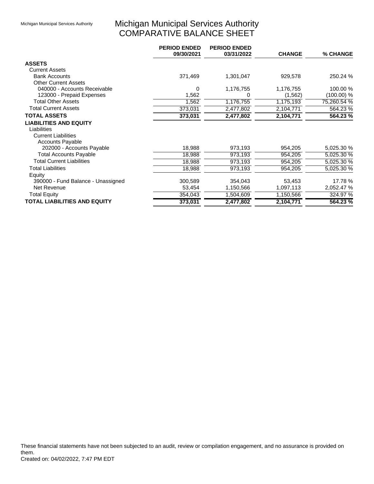# Michigan Municipal Services Authority COMPARATIVE BALANCE SHEET

|                                     | <b>PERIOD ENDED</b><br>09/30/2021 | <b>PERIOD ENDED</b><br>03/31/2022 | <b>CHANGE</b> | % CHANGE    |
|-------------------------------------|-----------------------------------|-----------------------------------|---------------|-------------|
| <b>ASSETS</b>                       |                                   |                                   |               |             |
| <b>Current Assets</b>               |                                   |                                   |               |             |
| <b>Bank Accounts</b>                | 371,469                           | 1,301,047                         | 929,578       | 250.24 %    |
| <b>Other Current Assets</b>         |                                   |                                   |               |             |
| 040000 - Accounts Receivable        | 0                                 | 1,176,755                         | 1,176,755     | 100.00 %    |
| 123000 - Prepaid Expenses           | 1,562                             | 0                                 | (1, 562)      | (100.00) %  |
| <b>Total Other Assets</b>           | 1,562                             | 1,176,755                         | 1,175,193     | 75,260.54 % |
| <b>Total Current Assets</b>         | 373,031                           | 2,477,802                         | 2,104,771     | 564.23 %    |
| <b>TOTAL ASSETS</b>                 | 373,031                           | 2,477,802                         | 2,104,771     | 564.23 %    |
| <b>LIABILITIES AND EQUITY</b>       |                                   |                                   |               |             |
| Liabilities                         |                                   |                                   |               |             |
| <b>Current Liabilities</b>          |                                   |                                   |               |             |
| <b>Accounts Payable</b>             |                                   |                                   |               |             |
| 202000 - Accounts Payable           | 18,988                            | 973,193                           | 954,205       | 5,025.30 %  |
| <b>Total Accounts Payable</b>       | 18,988                            | 973,193                           | 954,205       | 5,025.30 %  |
| <b>Total Current Liabilities</b>    | 18,988                            | 973,193                           | 954,205       | 5,025.30 %  |
| <b>Total Liabilities</b>            | 18,988                            | 973,193                           | 954,205       | 5,025.30 %  |
| Equity                              |                                   |                                   |               |             |
| 390000 - Fund Balance - Unassigned  | 300,589                           | 354,043                           | 53,453        | 17.78 %     |
| Net Revenue                         | 53,454                            | 1,150,566                         | 1,097,113     | 2,052.47 %  |
| <b>Total Equity</b>                 | 354,043                           | 1,504,609                         | 1,150,566     | 324.97 %    |
| <b>TOTAL LIABILITIES AND EQUITY</b> | 373,031                           | 2,477,802                         | 2,104,771     | 564.23%     |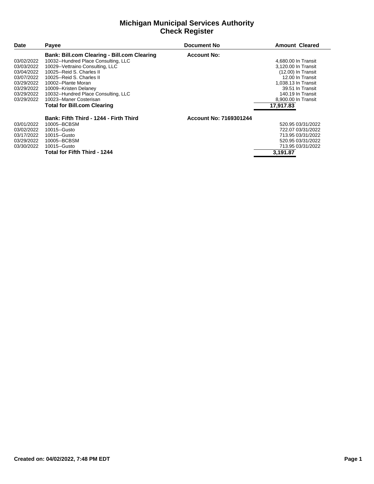#### **Michigan Municipal Services Authority Check Register**

| <b>Date</b> | <b>Payee</b>                                       | <b>Document No</b>     | <b>Amount Cleared</b> |
|-------------|----------------------------------------------------|------------------------|-----------------------|
|             | <b>Bank: Bill.com Clearing - Bill.com Clearing</b> | <b>Account No:</b>     |                       |
| 03/02/2022  | 10032--Hundred Place Consulting, LLC               |                        | 4,680.00 In Transit   |
| 03/03/2022  | 10029--Vettraino Consulting, LLC                   |                        | 3,120.00 In Transit   |
| 03/04/2022  | 10025--Reid S. Charles II                          |                        | (12.00) In Transit    |
| 03/07/2022  | 10025--Reid S. Charles II                          |                        | 12.00 In Transit      |
| 03/29/2022  | 10002--Plante Moran                                |                        | 1,038.13 In Transit   |
| 03/29/2022  | 10009--Kristen Delaney                             |                        | 39.51 In Transit      |
| 03/29/2022  | 10032--Hundred Place Consulting, LLC               |                        | 140.19 In Transit     |
| 03/29/2022  | 10023--Maner Costerisan                            |                        | 8,900.00 In Transit   |
|             | <b>Total for Bill.com Clearing</b>                 |                        | 17.917.83             |
|             | Bank: Fifth Third - 1244 - Firth Third             | Account No: 7169301244 |                       |
| 03/01/2022  | 10005--BCBSM                                       |                        | 520.95 03/31/2022     |
| 03/02/2022  | 10015--Gusto                                       |                        | 722.07 03/31/2022     |
| 03/17/2022  | 10015--Gusto                                       |                        | 713.95 03/31/2022     |
| 03/29/2022  | 10005--BCBSM                                       |                        | 520.95 03/31/2022     |
| 03/30/2022  | 10015--Gusto                                       |                        | 713.95 03/31/2022     |
|             | <b>Total for Fifth Third - 1244</b>                |                        | 3.191.87              |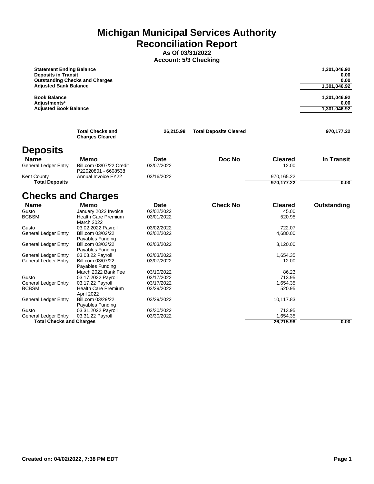**Michigan Municipal Services Authority Reconciliation Report**

**As Of 03/31/2022 Account: 5/3 Checking**

| <b>Statement Ending Balance</b><br><b>Deposits in Transit</b><br><b>Adjusted Bank Balance</b> | <b>Outstanding Checks and Charges</b>                   |                          |                               |                          | 1,301,046.92<br>0.00<br>0.00<br>1,301,046.92 |
|-----------------------------------------------------------------------------------------------|---------------------------------------------------------|--------------------------|-------------------------------|--------------------------|----------------------------------------------|
| <b>Book Balance</b><br>Adjustments*                                                           |                                                         |                          |                               |                          | 1,301,046.92<br>0.00                         |
| <b>Adjusted Book Balance</b>                                                                  |                                                         |                          |                               |                          | 1,301,046.92                                 |
|                                                                                               | <b>Total Checks and</b><br><b>Charges Cleared</b>       | 26,215.98                | <b>Total Deposits Cleared</b> |                          | 970,177.22                                   |
| <b>Deposits</b>                                                                               |                                                         |                          |                               |                          |                                              |
| <b>Name</b><br>General Ledger Entry                                                           | Memo<br>Bill.com 03/07/22 Credit<br>P22020801 - 6608538 | Date<br>03/07/2022       | Doc No                        | <b>Cleared</b><br>12.00  | In Transit                                   |
| Kent County<br><b>Total Deposits</b>                                                          | <b>Annual Invoice FY22</b>                              | 03/16/2022               |                               | 970,165.22<br>970,177.22 | 0.00                                         |
| <b>Checks and Charges</b>                                                                     |                                                         |                          |                               |                          |                                              |
| <b>Name</b>                                                                                   | <b>Memo</b>                                             | Date                     | <b>Check No</b>               | <b>Cleared</b>           | Outstanding                                  |
| Gusto                                                                                         | January 2022 Invoice                                    | 02/02/2022               |                               | 45.00                    |                                              |
| <b>BCBSM</b>                                                                                  | <b>Health Care Premium</b><br><b>March 2022</b>         | 03/01/2022               |                               | 520.95                   |                                              |
| Gusto                                                                                         | 03.02.2022 Payroll                                      | 03/02/2022               |                               | 722.07                   |                                              |
| General Ledger Entry                                                                          | Bill.com 03/02/22<br>Payables Funding                   | 03/02/2022               |                               | 4,680.00                 |                                              |
| General Ledger Entry                                                                          | Bill.com 03/03/22<br>Payables Funding                   | 03/03/2022               |                               | 3,120.00                 |                                              |
| General Ledger Entry                                                                          | 03.03.22 Payroll                                        | 03/03/2022               |                               | 1,654.35                 |                                              |
| General Ledger Entry                                                                          | Bill.com 03/07/22<br>Payables Funding                   | 03/07/2022               |                               | 12.00                    |                                              |
| Gusto                                                                                         | March 2022 Bank Fee<br>03.17.2022 Payroll               | 03/10/2022<br>03/17/2022 |                               | 86.23<br>713.95          |                                              |
| General Ledger Entry                                                                          | 03.17.22 Payroll                                        | 03/17/2022               |                               | 1,654.35                 |                                              |
| BCBSM                                                                                         | <b>Health Care Premium</b>                              | 03/29/2022               |                               | 520.95                   |                                              |
|                                                                                               | April 2022                                              |                          |                               |                          |                                              |
| General Ledger Entry                                                                          | Bill.com 03/29/22<br>Payables Funding                   | 03/29/2022               |                               | 10,117.83                |                                              |
| Gusto                                                                                         | 03.31.2022 Payroll                                      | 03/30/2022               |                               | 713.95                   |                                              |
| General Ledger Entry                                                                          | 03.31.22 Payroll                                        | 03/30/2022               |                               | 1,654.35                 |                                              |
| <b>Total Checks and Charges</b>                                                               |                                                         |                          |                               | 26,215.98                | 0.00                                         |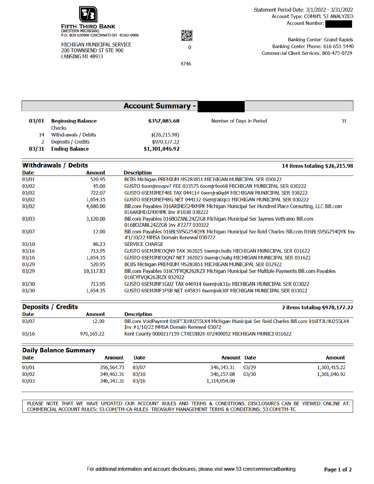

MICHIGAN MUNICIPAL SERVICE 200 TOWNSEND ST STE 900 LANSING MI 48933



4746

**Banking Center: Grand Rapids** Banking Center Phone: 616-653-5440 Commercial Client Services: 866-475-0729

|       |                          | <b>Account Summary -</b> |                          |    |
|-------|--------------------------|--------------------------|--------------------------|----|
| 03/01 | <b>Beginning Balance</b> | \$357,085.68             | Number of Days in Period | 31 |
|       | Checks                   |                          |                          |    |
| 14    | Withdrawals / Debits     | \$(26,215.98)            |                          |    |
|       | Deposits / Credits       | \$970,177.22             |                          |    |
| 03/31 | <b>Ending Balance</b>    | \$1,301,046.92           |                          |    |

#### **Withdrawals / Debits** 14 items totaling \$26,215.98 **Date Amount Description** 03/01 520.95 BCBS Michigan PREMIUM MS283851 MICHIGAN MUNICIPAL SER 030122  $03/02$ 45.00 GUSTO 6semjmeepv7 FEE 033575 6semjr9os68 MICHIGAN MUNICIPAL SER 030222  $03/02$ 722.07 GUSTO 6SEMJMEF48I TAX 044114 6semjra0qd4 MICHIGAN MUNICIPAL SER 030222  $03/02$ 1,654.35 GUSTO 6SEMJMEF48G NET 044112 6semjra0qco MICHIGAN MUNICIPAL SER 030222 Bill.com Payables 016ARIHDJ24XMPK Michigan Municipal Ser Hundred Place Consulting, LLC Bill.com 03/02 4,680.00 016ARIHDJ24XMPK Inv #1038 030222 Bill.com Payables 016BOZANL24ZZG8 Michigan Municipal Ser Jaymes Vettraino Bill.com 03/03 3,120.00 016BOZANL24ZZG8 Inv #2277 030322 03/07 12.00 Bill.com Payables 016BLSVSG254QYK Michigan Municipal Ser Reid Charles Bill.com 016BLSVSG254QYK Inv #1/10/22 MMSA Domain Renewal 030722  $03/10$ 86.23 **SERVICE CHARGE**  $03/16$ 713.95 GUSTO 6SEMJMEOQN9 TAX 362025 6semjrchu8s MICHIGAN MUNICIPAL SER 031622 GUSTO 6SEMJMEOQN7 NET 362023 6semjrchu8g MICHIGAN MUNICIPAL SER 031622  $03/16$ 1,654.35 BCBS Michigan PREMIUM MS283851 MICHIGAN MUNICIPAL SER 032922  $03/29$ 520.95  $03/29$ 10,117.83 Bill.com Payables 016CYFVQK262RZX Michigan Municipal Ser Multiple Payments Bill.com Payables 016CYFVQK262RZX 032922  $03/30$ 713.95 GUSTO 6SEMJMF1GU2 TAX 646914 6semjrek31o MICHIGAN MUNICIPAL SER 033022 03/30 1,654.35 GUSTO 6SEMJMF1FSB NET 645835 6semjrek30f MICHIGAN MUNICIPAL SER 033022

| <b>Deposits / Credits</b> |            | 2 items totaling \$970,177.22                                                                                                              |
|---------------------------|------------|--------------------------------------------------------------------------------------------------------------------------------------------|
| Date                      | Amount     | Description                                                                                                                                |
| 03/07                     | 12.00      | Bill.com VoidPaymnt 016FFJLHU255LX4 Michigan Municipal Ser Reid Charles Bill.com 016FFJLHU255LX4<br>Inv #1/10/22 MMSA Domain Renewal 03072 |
| 03/16                     | 970.165.22 | Kent County 0000217159 CTXEDI820 072400052 MICHIGAN MUNICI 031622                                                                          |

| <b>Daily Balance Summary</b> |               |             |                    |       |               |
|------------------------------|---------------|-------------|--------------------|-------|---------------|
| <b>Date</b>                  | <b>Amount</b> | <b>Date</b> | <b>Amount Date</b> |       | <b>Amount</b> |
| 03/01                        | 356,564.73    | 03/07       | 346,343.31         | 03/29 | 1,303,415.22  |
| 03/02                        | 349,463.31    | 03/10       | 346,257.08         | 03/30 | 1,301,046.92  |
| 03/03                        | 346,343.31    | 03/16       | 1.314.054.00       |       |               |

PLEASE NOTE THAT WE HAVE UPDATED OUR ACCOUNT RULES AND TERMS & CONDITIONS. DISCLOSURES CAN BE VIEWED ONLINE AT: COMMERCIAL ACCOUNT RULES: 53.COM/TM-CA-RULES TREASURY MANAGEMENT TERMS & CONDITIONS: 53.COM/TM-TC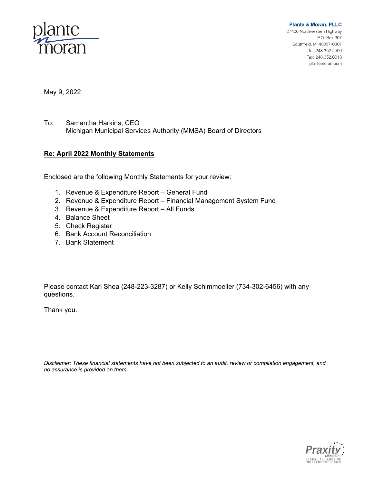

**Plante & Moran, PLLC** 27400 Northwestern Highway P.O. Box 307 Southfield, MI 48037-0307 Tel: 248.352.2500 Fax: 248.352.0018 plantemoran.com

May 9, 2022

To: Samantha Harkins, CEO Michigan Municipal Services Authority (MMSA) Board of Directors

#### **Re: April 2022 Monthly Statements**

Enclosed are the following Monthly Statements for your review:

- 1. Revenue & Expenditure Report General Fund
- 2. Revenue & Expenditure Report Financial Management System Fund
- 3. Revenue & Expenditure Report All Funds
- 4. Balance Sheet
- 5. Check Register
- 6. Bank Account Reconciliation
- 7. Bank Statement

Please contact Kari Shea (248-223-3287) or Kelly Schimmoeller (734-302-6456) with any questions.

Thank you.

*Disclaimer: These financial statements have not been subjected to an audit, review or compilation engagement, and no assurance is provided on them.*

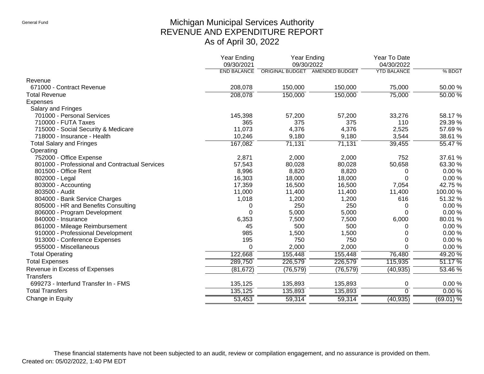# Michigan Municipal Services Authority REVENUE AND EXPENDITURE REPORT As of April 30, 2022

|                                                | <b>Year Ending</b><br>09/30/2021 | Year Ending<br>09/30/2022      |           | Year To Date<br>04/30/2022 |             |
|------------------------------------------------|----------------------------------|--------------------------------|-----------|----------------------------|-------------|
|                                                | <b>END BALANCE</b>               | ORIGINAL BUDGET AMENDED BUDGET |           | <b>YTD BALANCE</b>         | % BDGT      |
| Revenue                                        |                                  |                                |           |                            |             |
| 671000 - Contract Revenue                      | 208,078                          | 150,000                        | 150,000   | 75,000                     | 50.00 %     |
| <b>Total Revenue</b>                           | 208,078                          | 150,000                        | 150,000   | 75,000                     | $50.00\%$   |
| Expenses                                       |                                  |                                |           |                            |             |
| Salary and Fringes                             |                                  |                                |           |                            |             |
| 701000 - Personal Services                     | 145,398                          | 57,200                         | 57,200    | 33,276                     | 58.17%      |
| 710000 - FUTA Taxes                            | 365                              | 375                            | 375       | 110                        | 29.39 %     |
| 715000 - Social Security & Medicare            | 11,073                           | 4,376                          | 4,376     | 2,525                      | 57.69%      |
| 718000 - Insurance - Health                    | 10,246                           | 9,180                          | 9,180     | 3,544                      | 38.61 %     |
| <b>Total Salary and Fringes</b>                | 167,082                          | 71,131                         | 71,131    | 39,455                     | 55.47 %     |
| Operating                                      |                                  |                                |           |                            |             |
| 752000 - Office Expense                        | 2,871                            | 2,000                          | 2,000     | 752                        | 37.61 %     |
| 801000 - Professional and Contractual Services | 57,543                           | 80,028                         | 80,028    | 50,658                     | 63.30 %     |
| 801500 - Office Rent                           | 8,996                            | 8,820                          | 8,820     | 0                          | 0.00%       |
| 802000 - Legal                                 | 16,303                           | 18,000                         | 18,000    | $\Omega$                   | 0.00%       |
| 803000 - Accounting                            | 17,359                           | 16,500                         | 16,500    | 7,054                      | 42.75 %     |
| 803500 - Audit                                 | 11,000                           | 11,400                         | 11,400    | 11,400                     | 100.00%     |
| 804000 - Bank Service Charges                  | 1,018                            | 1,200                          | 1,200     | 616                        | 51.32 %     |
| 805000 - HR and Benefits Consulting            | 0                                | 250                            | 250       | 0                          | 0.00%       |
| 806000 - Program Development                   | 0                                | 5,000                          | 5,000     | $\Omega$                   | 0.00%       |
| 840000 - Insurance                             | 6,353                            | 7,500                          | 7,500     | 6,000                      | 80.01%      |
| 861000 - Mileage Reimbursement                 | 45                               | 500                            | 500       | O                          | 0.00%       |
| 910000 - Professional Development              | 985                              | 1,500                          | 1,500     | 0                          | 0.00%       |
| 913000 - Conference Expenses                   | 195                              | 750                            | 750       | 0                          | 0.00%       |
| 955000 - Miscellaneous                         | 0                                | 2,000                          | 2,000     | 0                          | 0.00%       |
| <b>Total Operating</b>                         | 122,668                          | 155,448                        | 155,448   | 76,480                     | 49.20%      |
| <b>Total Expenses</b>                          | 289,750                          | 226,579                        | 226,579   | 115,935                    | 51.17 %     |
| Revenue in Excess of Expenses                  | (81, 672)                        | (76, 579)                      | (76, 579) | (40, 935)                  | 53.46 %     |
| <b>Transfers</b>                               |                                  |                                |           |                            |             |
| 699273 - Interfund Transfer In - FMS           | 135,125                          | 135,893                        | 135,893   | 0                          | 0.00%       |
| <b>Total Transfers</b>                         | 135,125                          | 135,893                        | 135,893   | $\Omega$                   | 0.00%       |
| Change in Equity                               | 53,453                           | 59,314                         | 59,314    | (40, 935)                  | $(69.01)$ % |

These financial statements have not been subjected to an audit, review or compilation engagement, and no assurance is provided on them. Created on: 05/02/2022, 1:40 PM EDT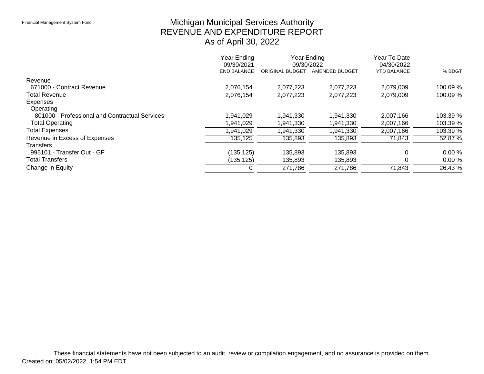# Michigan Municipal Services Authority REVENUE AND EXPENDITURE REPORT As of April 30, 2022

|                                                | Year Ending<br>Year Ending<br>09/30/2021<br>09/30/2022 |                        | Year To Date<br>04/30/2022 |                    |            |
|------------------------------------------------|--------------------------------------------------------|------------------------|----------------------------|--------------------|------------|
|                                                | <b>END BALANCE</b>                                     | <b>ORIGINAL BUDGET</b> | AMENDED BUDGET             | <b>YTD BALANCE</b> | % BDGT     |
| Revenue                                        |                                                        |                        |                            |                    |            |
| 671000 - Contract Revenue                      | 2,076,154                                              | 2,077,223              | 2,077,223                  | 2,079,009          | 100.09 %   |
| <b>Total Revenue</b>                           | 2,076,154                                              | 2,077,223              | 2,077,223                  | 2,079,009          | $100.09\%$ |
| Expenses                                       |                                                        |                        |                            |                    |            |
| Operating                                      |                                                        |                        |                            |                    |            |
| 801000 - Professional and Contractual Services | 1,941,029                                              | 1,941,330              | 1,941,330                  | 2,007,166          | 103.39 %   |
| <b>Total Operating</b>                         | ,941,029                                               | 1,941,330              | 1,941,330                  | 2,007,166          | $103.39\%$ |
| <b>Total Expenses</b>                          | ,941,029                                               | 1,941,330              | .941,330                   | 2,007,166          | $103.39\%$ |
| Revenue in Excess of Expenses                  | 135,125                                                | 135,893                | 135,893                    | 71,843             | 52.87%     |
| <b>Transfers</b>                               |                                                        |                        |                            |                    |            |
| 995101 - Transfer Out - GF                     | (135, 125)                                             | 135,893                | 135,893                    |                    | 0.00%      |
| <b>Total Transfers</b>                         | (135, 125)                                             | 135,893                | 135,893                    |                    | 0.00%      |
| Change in Equity                               |                                                        | 271,786                | 271,786                    | 71,843             | 26.43 %    |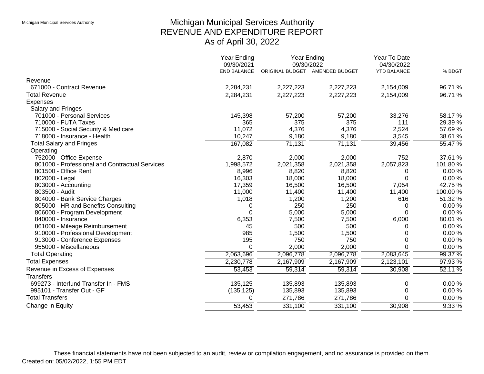# Michigan Municipal Services Authority REVENUE AND EXPENDITURE REPORT As of April 30, 2022

|                                                | <b>Year Ending</b><br>09/30/2021 | Year Ending<br>09/30/2022 |                                | Year To Date<br>04/30/2022 |          |
|------------------------------------------------|----------------------------------|---------------------------|--------------------------------|----------------------------|----------|
|                                                | <b>END BALANCE</b>               |                           | ORIGINAL BUDGET AMENDED BUDGET | <b>YTD BALANCE</b>         | % BDGT   |
| Revenue                                        |                                  |                           |                                |                            |          |
| 671000 - Contract Revenue                      | 2,284,231                        | 2,227,223                 | 2,227,223                      | 2,154,009                  | 96.71%   |
| <b>Total Revenue</b>                           | 2,284,231                        | 2,227,223                 | 2,227,223                      | 2,154,009                  | 96.71%   |
| <b>Expenses</b>                                |                                  |                           |                                |                            |          |
| Salary and Fringes                             |                                  |                           |                                |                            |          |
| 701000 - Personal Services                     | 145,398                          | 57,200                    | 57,200                         | 33,276                     | 58.17%   |
| 710000 - FUTA Taxes                            | 365                              | 375                       | 375                            | 111                        | 29.39 %  |
| 715000 - Social Security & Medicare            | 11,072                           | 4,376                     | 4,376                          | 2,524                      | 57.69%   |
| 718000 - Insurance - Health                    | 10,247                           | 9,180                     | 9,180                          | 3,545                      | 38.61 %  |
| <b>Total Salary and Fringes</b>                | 167,082                          | 71,131                    | 71,131                         | 39,456                     | 55.47 %  |
| Operating                                      |                                  |                           |                                |                            |          |
| 752000 - Office Expense                        | 2,870                            | 2,000                     | 2,000                          | 752                        | 37.61 %  |
| 801000 - Professional and Contractual Services | 1,998,572                        | 2,021,358                 | 2,021,358                      | 2,057,823                  | 101.80%  |
| 801500 - Office Rent                           | 8,996                            | 8,820                     | 8,820                          | 0                          | 0.00%    |
| 802000 - Legal                                 | 16,303                           | 18,000                    | 18,000                         | $\Omega$                   | 0.00%    |
| 803000 - Accounting                            | 17,359                           | 16,500                    | 16,500                         | 7,054                      | 42.75%   |
| 803500 - Audit                                 | 11,000                           | 11,400                    | 11,400                         | 11,400                     | 100.00%  |
| 804000 - Bank Service Charges                  | 1,018                            | 1,200                     | 1,200                          | 616                        | 51.32 %  |
| 805000 - HR and Benefits Consulting            | 0                                | 250                       | 250                            | 0                          | 0.00%    |
| 806000 - Program Development                   | $\Omega$                         | 5,000                     | 5,000                          | $\Omega$                   | 0.00%    |
| 840000 - Insurance                             | 6,353                            | 7,500                     | 7,500                          | 6,000                      | 80.01%   |
| 861000 - Mileage Reimbursement                 | 45                               | 500                       | 500                            | 0                          | 0.00%    |
| 910000 - Professional Development              | 985                              | 1,500                     | 1,500                          | 0                          | 0.00%    |
| 913000 - Conference Expenses                   | 195                              | 750                       | 750                            | 0                          | 0.00%    |
| 955000 - Miscellaneous                         | $\Omega$                         | 2,000                     | 2,000                          | $\Omega$                   | 0.00%    |
| <b>Total Operating</b>                         | 2,063,696                        | 2,096,778                 | 2,096,778                      | 2,083,645                  | 99.37 %  |
| <b>Total Expenses</b>                          | 2,230,778                        | 2,167,909                 | 2,167,909                      | 2,123,101                  | 97.93 %  |
| Revenue in Excess of Expenses                  | 53,453                           | 59,314                    | 59,314                         | 30,908                     | 52.11 %  |
| <b>Transfers</b>                               |                                  |                           |                                |                            |          |
| 699273 - Interfund Transfer In - FMS           | 135,125                          | 135,893                   | 135,893                        | 0                          | 0.00%    |
| 995101 - Transfer Out - GF                     | (135, 125)                       | 135,893                   | 135,893                        | 0                          | 0.00%    |
| <b>Total Transfers</b>                         | 0                                | 271,786                   | 271,786                        | $\overline{0}$             | 0.00%    |
| Change in Equity                               | 53,453                           | 331,100                   | 331,100                        | 30,908                     | $9.33\%$ |
|                                                |                                  |                           |                                |                            |          |

These financial statements have not been subjected to an audit, review or compilation engagement, and no assurance is provided on them. Created on: 05/02/2022, 1:55 PM EDT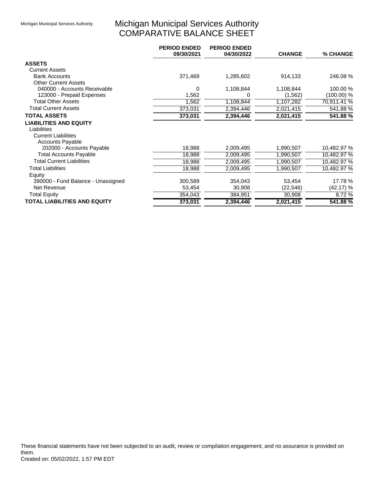# Michigan Municipal Services Authority COMPARATIVE BALANCE SHEET

|                                     | <b>PERIOD ENDED</b><br>09/30/2021 | <b>PERIOD ENDED</b><br>04/30/2022 | <b>CHANGE</b> | % CHANGE    |
|-------------------------------------|-----------------------------------|-----------------------------------|---------------|-------------|
| <b>ASSETS</b>                       |                                   |                                   |               |             |
| <b>Current Assets</b>               |                                   |                                   |               |             |
| <b>Bank Accounts</b>                | 371,469                           | 1,285,602                         | 914,133       | 246.08 %    |
| <b>Other Current Assets</b>         |                                   |                                   |               |             |
| 040000 - Accounts Receivable        | 0                                 | 1,108,844                         | 1,108,844     | 100.00 %    |
| 123000 - Prepaid Expenses           | 1,562                             | 0                                 | (1, 562)      | (100.00) %  |
| <b>Total Other Assets</b>           | 1,562                             | 1,108,844                         | 1,107,282     | 70,911.41 % |
| <b>Total Current Assets</b>         | 373,031                           | 2,394,446                         | 2,021,415     | 541.88%     |
| <b>TOTAL ASSETS</b>                 | 373,031                           | 2,394,446                         | 2,021,415     | 541.88%     |
| <b>LIABILITIES AND EQUITY</b>       |                                   |                                   |               |             |
| Liabilities                         |                                   |                                   |               |             |
| <b>Current Liabilities</b>          |                                   |                                   |               |             |
| <b>Accounts Payable</b>             |                                   |                                   |               |             |
| 202000 - Accounts Payable           | 18,988                            | 2,009,495                         | 1,990,507     | 10,482.97 % |
| <b>Total Accounts Payable</b>       | 18,988                            | 2,009,495                         | 1,990,507     | 10,482.97 % |
| <b>Total Current Liabilities</b>    | 18,988                            | 2,009,495                         | 1,990,507     | 10,482.97 % |
| <b>Total Liabilities</b>            | 18,988                            | 2,009,495                         | 1,990,507     | 10,482.97 % |
| Equity                              |                                   |                                   |               |             |
| 390000 - Fund Balance - Unassigned  | 300,589                           | 354,043                           | 53,454        | 17.78 %     |
| Net Revenue                         | 53,454                            | 30,908                            | (22, 546)     | (42.17) %   |
| <b>Total Equity</b>                 | 354,043                           | 384,951                           | 30,908        | 8.72 %      |
| <b>TOTAL LIABILITIES AND EQUITY</b> | 373,031                           | 2,394,446                         | 2,021,415     | 541.88%     |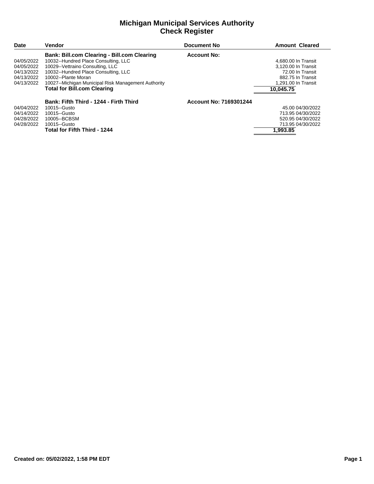#### **Michigan Municipal Services Authority Check Register**

| Date       | <b>Vendor</b>                                       | Document No            | <b>Amount Cleared</b> |
|------------|-----------------------------------------------------|------------------------|-----------------------|
|            | <b>Bank: Bill.com Clearing - Bill.com Clearing</b>  | <b>Account No:</b>     |                       |
| 04/05/2022 | 10032--Hundred Place Consulting, LLC                |                        | 4,680.00 In Transit   |
| 04/05/2022 | 10029--Vettraino Consulting, LLC                    |                        | 3.120.00 In Transit   |
| 04/13/2022 | 10032--Hundred Place Consulting, LLC                |                        | 72.00 In Transit      |
| 04/13/2022 | 10002--Plante Moran                                 |                        | 882.75 In Transit     |
| 04/13/2022 | 10027--Michigan Municipal Risk Management Authority |                        | 1.291.00 In Transit   |
|            | <b>Total for Bill.com Clearing</b>                  |                        | 10.045.75             |
|            | Bank: Fifth Third - 1244 - Firth Third              | Account No: 7169301244 |                       |
| 04/04/2022 | 10015--Gusto                                        |                        | 45.00 04/30/2022      |
| 04/14/2022 | 10015-Gusto                                         |                        | 713.95 04/30/2022     |
| 04/28/2022 | 10005--BCBSM                                        |                        | 520.95 04/30/2022     |
| 04/28/2022 | 10015-Gusto                                         |                        | 713.95 04/30/2022     |
|            | <b>Total for Fifth Third - 1244</b>                 |                        | 1.993.85              |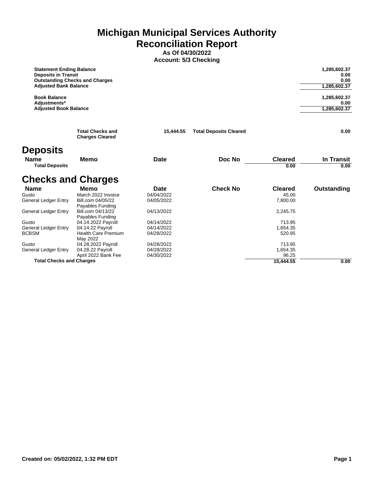**Michigan Municipal Services Authority Reconciliation Report**

**As Of 04/30/2022 Account: 5/3 Checking**

| <b>Statement Ending Balance</b><br><b>Deposits in Transit</b><br><b>Outstanding Checks and Charges</b><br><b>Adjusted Bank Balance</b> |           |                               | 1,285,602.37<br>0.00<br>0.00<br>1,285,602.37 |
|----------------------------------------------------------------------------------------------------------------------------------------|-----------|-------------------------------|----------------------------------------------|
| <b>Book Balance</b><br>Adjustments*<br><b>Adjusted Book Balance</b>                                                                    |           |                               | 1,285,602.37<br>0.00<br>1,285,602.37         |
| <b>Total Checks and</b><br><b>Charges Cleared</b>                                                                                      | 15.444.55 | <b>Total Deposits Cleared</b> | 0.00                                         |

# **Deposits**

| <b>Name</b><br><b>Total Deposits</b> | Memo                       | <b>Date</b> | Doc No          | <b>Cleared</b><br>0.00 | In Transit<br>0.00 |
|--------------------------------------|----------------------------|-------------|-----------------|------------------------|--------------------|
| <b>Checks and Charges</b>            |                            |             |                 |                        |                    |
| <b>Name</b>                          | Memo                       | Date        | <b>Check No</b> | <b>Cleared</b>         | Outstanding        |
| Gusto                                | March 2022 Invoice         | 04/04/2022  |                 | 45.00                  |                    |
| <b>General Ledger Entry</b>          | Bill.com 04/05/22          | 04/05/2022  |                 | 7,800.00               |                    |
|                                      | Payables Funding           |             |                 |                        |                    |
| <b>General Ledger Entry</b>          | Bill.com 04/13/22          | 04/13/2022  |                 | 2,245.75               |                    |
|                                      | Payables Funding           |             |                 |                        |                    |
| Gusto                                | 04.14.2022 Payroll         | 04/14/2022  |                 | 713.95                 |                    |
| <b>General Ledger Entry</b>          | 04.14.22 Payroll           | 04/14/2022  |                 | 1,654.35               |                    |
| <b>BCBSM</b>                         | <b>Health Care Premium</b> | 04/28/2022  |                 | 520.95                 |                    |
|                                      | May 2022                   |             |                 |                        |                    |
| Gusto                                | 04.28.2022 Payroll         | 04/28/2022  |                 | 713.95                 |                    |
| <b>General Ledger Entry</b>          | 04.28.22 Payroll           | 04/28/2022  |                 | 1,654.35               |                    |
|                                      | April 2022 Bank Fee        | 04/30/2022  |                 | 96.25                  |                    |
| <b>Total Checks and Charges</b>      |                            |             |                 | 15,444.55              | 0.00               |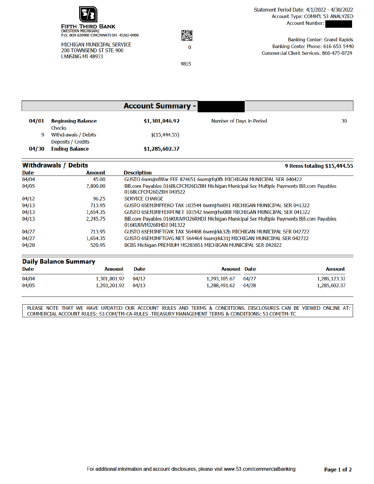

MICHIGAN MUNICIPAL SERVICE 200 TOWNSEND ST STE 900 LANSING MI 48933



4815

**Banking Center: Grand Rapids** Banking Center Phone: 616-653-5440 Commercial Client Services: 866-475-0729

|       |                                             | <b>Account Summary -</b> |                          |    |
|-------|---------------------------------------------|--------------------------|--------------------------|----|
| 04/01 | <b>Beginning Balance</b><br>Checks          | \$1,301,046.92           | Number of Days in Period | 30 |
| 9     | Withdrawals / Debits                        | \$(15, 444.55)           |                          |    |
| 04/30 | Deposits / Credits<br><b>Ending Balance</b> | \$1,285,602.37           |                          |    |

| <b>Withdrawals / Debits</b> |               | 9 items totaling \$15,444.55                                                                                           |
|-----------------------------|---------------|------------------------------------------------------------------------------------------------------------------------|
| Date                        | <b>Amount</b> | <b>Description</b>                                                                                                     |
| 04/04                       | 45.00         | GUSTO 6semjmf8far FEE 874651 6semjrfq0fb MICHIGAN MUNICIPAL SER 040422                                                 |
| 04/05                       | 7,800.00      | Bill.com Payables 016BLCFCM26DZBH Michigan Municipal Ser Multiple Payments Bill.com Payables<br>016BLCFCM26DZBH 040522 |
| 04/12                       | 96.25         | <b>SERVICE CHARGE</b>                                                                                                  |
| 04/13                       | 713.95        | GUSTO 6SEMJMFFERO TAX 103544 6semjrho091 MICHIGAN MUNICIPAL SER 041322                                                 |
| 04/13                       | 1.654.35      | GUSTO 6SEMJMFFERM NET 103542 6semjrho088 MICHIGAN MUNICIPAL SER 041322                                                 |
| 04/13                       | 2.245.75      | Bill.com Payables 016KUUVMJ26RHDJ Michigan Municipal Ser Multiple Payments Bill.com Payables<br>016KUUVMJ26RHDJ 041322 |
| 04/27                       | 713.95        | GUSTO 6SEMJMFTGVK TAX 564468 6semjrkk32b MICHIGAN MUNICIPAL SER 042722                                                 |
| 04/27                       | 1,654.35      | GUSTO 6SEMJMFTGVG NET 564464 6semjrkk31j MICHIGAN MUNICIPAL SER 042722                                                 |
| 04/28                       | 520.95        | BCBS Michigan PREMIUM MS283851 MICHIGAN MUNICIPAL SER 042822                                                           |

| <b>Daily Balance Summary</b> |                    |             |                    |       |               |  |
|------------------------------|--------------------|-------------|--------------------|-------|---------------|--|
| Date                         | <b>Amount</b>      | <b>Date</b> | <b>Amount Date</b> |       | <b>Amount</b> |  |
| 04/04                        | 1,301,001.92 04/12 |             | 1,293,105.67       | 04/27 | 1,286,123.32  |  |
| 04/05                        | 1,293,201.92 04/13 |             | 1,288,491.62 04/28 |       | 1,285,602.37  |  |

PLEASE NOTE THAT WE HAVE UPDATED OUR ACCOUNT RULES AND TERMS & CONDITIONS. DISCLOSURES CAN BE VIEWED ONLINE AT: COMMERCIAL ACCOUNT RULES: 53.COM/TM-CA-RULES TREASURY MANAGEMENT TERMS & CONDITIONS: 53.COM/TM-TC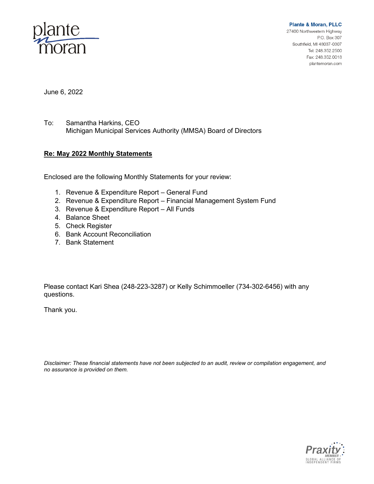

**Plante & Moran, PLLC** 27400 Northwestern Highway P.O. Box 307 Southfield, MI 48037-0307 Tel: 248.352.2500 Fax: 248.352.0018

plantemoran.com

June 6, 2022

To: Samantha Harkins, CEO Michigan Municipal Services Authority (MMSA) Board of Directors

#### **Re: May 2022 Monthly Statements**

Enclosed are the following Monthly Statements for your review:

- 1. Revenue & Expenditure Report General Fund
- 2. Revenue & Expenditure Report Financial Management System Fund
- 3. Revenue & Expenditure Report All Funds
- 4. Balance Sheet
- 5. Check Register
- 6. Bank Account Reconciliation
- 7. Bank Statement

Please contact Kari Shea (248-223-3287) or Kelly Schimmoeller (734-302-6456) with any questions.

Thank you.

*Disclaimer: These financial statements have not been subjected to an audit, review or compilation engagement, and no assurance is provided on them.*

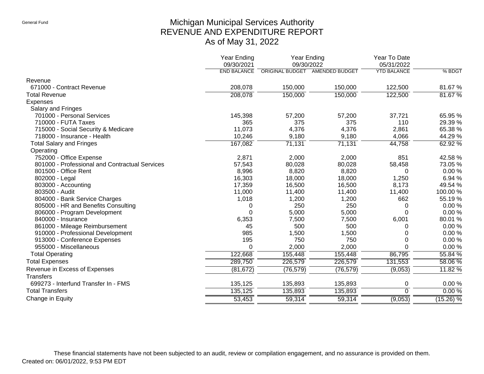# Michigan Municipal Services Authority REVENUE AND EXPENDITURE REPORT As of May 31, 2022

|                                                | <b>Year Ending</b><br>09/30/2021 | <b>Year Ending</b><br>09/30/2022 |           | Year To Date<br>05/31/2022 |             |
|------------------------------------------------|----------------------------------|----------------------------------|-----------|----------------------------|-------------|
|                                                | <b>END BALANCE</b>               | ORIGINAL BUDGET AMENDED BUDGET   |           | <b>YTD BALANCE</b>         | % BDGT      |
| Revenue                                        |                                  |                                  |           |                            |             |
| 671000 - Contract Revenue                      | 208,078                          | 150,000                          | 150,000   | 122,500                    | 81.67%      |
| <b>Total Revenue</b>                           | 208,078                          | 150,000                          | 150,000   | 122,500                    | 81.67%      |
| <b>Expenses</b>                                |                                  |                                  |           |                            |             |
| Salary and Fringes                             |                                  |                                  |           |                            |             |
| 701000 - Personal Services                     | 145,398                          | 57,200                           | 57,200    | 37,721                     | 65.95 %     |
| 710000 - FUTA Taxes                            | 365                              | 375                              | 375       | 110                        | 29.39 %     |
| 715000 - Social Security & Medicare            | 11,073                           | 4,376                            | 4,376     | 2,861                      | 65.38%      |
| 718000 - Insurance - Health                    | 10,246                           | 9,180                            | 9,180     | 4,066                      | 44.29%      |
| <b>Total Salary and Fringes</b>                | 167,082                          | 71,131                           | 71,131    | 44,758                     | 62.92 %     |
| Operating                                      |                                  |                                  |           |                            |             |
| 752000 - Office Expense                        | 2,871                            | 2,000                            | 2,000     | 851                        | 42.58 %     |
| 801000 - Professional and Contractual Services | 57,543                           | 80,028                           | 80,028    | 58,458                     | 73.05 %     |
| 801500 - Office Rent                           | 8,996                            | 8,820                            | 8,820     | 0                          | 0.00%       |
| 802000 - Legal                                 | 16,303                           | 18,000                           | 18,000    | 1,250                      | 6.94 %      |
| 803000 - Accounting                            | 17,359                           | 16,500                           | 16,500    | 8,173                      | 49.54 %     |
| 803500 - Audit                                 | 11,000                           | 11,400                           | 11,400    | 11,400                     | 100.00%     |
| 804000 - Bank Service Charges                  | 1,018                            | 1,200                            | 1,200     | 662                        | 55.19 %     |
| 805000 - HR and Benefits Consulting            | 0                                | 250                              | 250       | 0                          | 0.00%       |
| 806000 - Program Development                   | $\Omega$                         | 5,000                            | 5,000     | $\Omega$                   | 0.00%       |
| 840000 - Insurance                             | 6,353                            | 7,500                            | 7,500     | 6,001                      | 80.01%      |
| 861000 - Mileage Reimbursement                 | 45                               | 500                              | 500       | 0                          | 0.00%       |
| 910000 - Professional Development              | 985                              | 1,500                            | 1,500     | 0                          | 0.00%       |
| 913000 - Conference Expenses                   | 195                              | 750                              | 750       | 0                          | 0.00%       |
| 955000 - Miscellaneous                         | $\mathbf 0$                      | 2,000                            | 2,000     | 0                          | 0.00%       |
| <b>Total Operating</b>                         | 122,668                          | 155,448                          | 155,448   | 86,795                     | 55.84 %     |
| <b>Total Expenses</b>                          | 289,750                          | 226,579                          | 226,579   | 131,553                    | 58.06 %     |
| Revenue in Excess of Expenses                  | (81, 672)                        | (76, 579)                        | (76, 579) | (9,053)                    | 11.82%      |
| <b>Transfers</b>                               |                                  |                                  |           |                            |             |
| 699273 - Interfund Transfer In - FMS           | 135,125                          | 135,893                          | 135,893   | 0                          | 0.00%       |
| <b>Total Transfers</b>                         | 135,125                          | 135,893                          | 135,893   | $\mathbf 0$                | $0.00\%$    |
| Change in Equity                               | 53,453                           | 59,314                           | 59,314    | (9,053)                    | $(15.26)$ % |

These financial statements have not been subjected to an audit, review or compilation engagement, and no assurance is provided on them. Created on: 06/01/2022, 9:53 PM EDT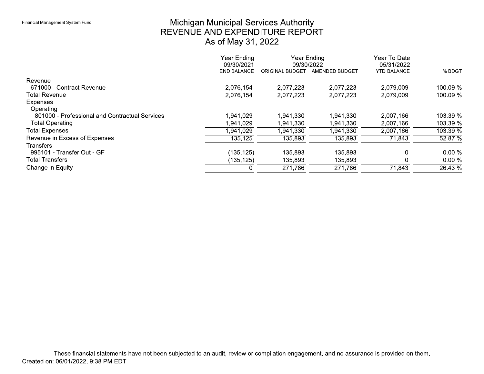# Michigan Municipal Services Authority<br>REVENUE AND EXPENDITURE REPORT As of May 31, 2022

|                                                | Year Ending<br>Year Ending<br>09/30/2021<br>09/30/2022 |                 |                | Year To Date<br>05/31/2022 |            |
|------------------------------------------------|--------------------------------------------------------|-----------------|----------------|----------------------------|------------|
|                                                | <b>END BALANCE</b>                                     | ORIGINAL BUDGET | AMENDED BUDGET | <b>YTD BALANCE</b>         | $%$ BDGT   |
| Revenue                                        |                                                        |                 |                |                            |            |
| 671000 - Contract Revenue                      | 2,076,154                                              | 2,077,223       | 2,077,223      | 2,079,009                  | 100.09 %   |
| <b>Total Revenue</b>                           | 2,076,154                                              | 2,077,223       | 2,077,223      | 2,079,009                  | $100.09\%$ |
| <b>Expenses</b>                                |                                                        |                 |                |                            |            |
| Operating                                      |                                                        |                 |                |                            |            |
| 801000 - Professional and Contractual Services | 941,029                                                | 1,941,330       | 1,941,330      | 2,007,166                  | 103.39 %   |
| <b>Total Operating</b>                         | ,941,029                                               | 1,941,330       | 1,941,330      | 2,007,166                  | $103.39\%$ |
| <b>Total Expenses</b>                          | .941,029                                               | 1,941,330       | 1,941,330      | 2,007,166                  | $103.39\%$ |
| Revenue in Excess of Expenses                  | 135,125                                                | 135,893         | 135,893        | 71,843                     | 52.87%     |
| <b>Transfers</b>                               |                                                        |                 |                |                            |            |
| 995101 - Transfer Out - GF                     | (135,125)                                              | 135,893         | 135,893        | 0                          | $0.00 \%$  |
| <b>Total Transfers</b>                         | (135,125)                                              | 135,893         | 135,893        |                            | $0.00\%$   |
| Change in Equity                               |                                                        | 271,786         | 271,786        | 71,843                     | $26.43\%$  |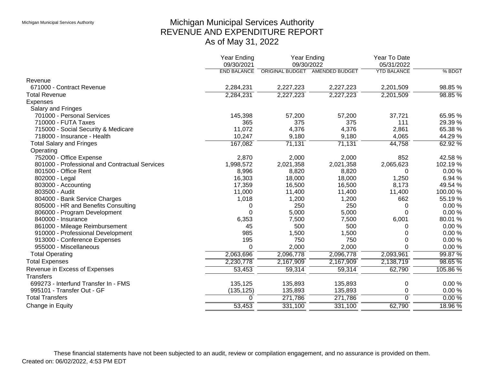# Michigan Municipal Services Authority REVENUE AND EXPENDITURE REPORT As of May 31, 2022

|                                                | Year Ending<br>09/30/2021 | Year Ending                    | 09/30/2022 | Year To Date<br>05/31/2022 |          |
|------------------------------------------------|---------------------------|--------------------------------|------------|----------------------------|----------|
|                                                | <b>END BALANCE</b>        | ORIGINAL BUDGET AMENDED BUDGET |            | <b>YTD BALANCE</b>         | % BDGT   |
| Revenue                                        |                           |                                |            |                            |          |
| 671000 - Contract Revenue                      | 2,284,231                 | 2,227,223                      | 2,227,223  | 2,201,509                  | 98.85%   |
| <b>Total Revenue</b>                           | 2,284,231                 | 2,227,223                      | 2,227,223  | 2,201,509                  | 98.85%   |
| <b>Expenses</b>                                |                           |                                |            |                            |          |
| Salary and Fringes                             |                           |                                |            |                            |          |
| 701000 - Personal Services                     | 145,398                   | 57,200                         | 57,200     | 37,721                     | 65.95 %  |
| 710000 - FUTA Taxes                            | 365                       | 375                            | 375        | 111                        | 29.39 %  |
| 715000 - Social Security & Medicare            | 11,072                    | 4,376                          | 4,376      | 2,861                      | 65.38 %  |
| 718000 - Insurance - Health                    | 10,247                    | 9,180                          | 9,180      | 4,065                      | 44.29%   |
| <b>Total Salary and Fringes</b>                | 167,082                   | 71,131                         | 71,131     | 44,758                     | 62.92%   |
| Operating                                      |                           |                                |            |                            |          |
| 752000 - Office Expense                        | 2,870                     | 2,000                          | 2,000      | 852                        | 42.58 %  |
| 801000 - Professional and Contractual Services | 1,998,572                 | 2,021,358                      | 2,021,358  | 2,065,623                  | 102.19%  |
| 801500 - Office Rent                           | 8,996                     | 8,820                          | 8,820      | 0                          | 0.00%    |
| 802000 - Legal                                 | 16,303                    | 18,000                         | 18,000     | 1,250                      | 6.94 %   |
| 803000 - Accounting                            | 17,359                    | 16,500                         | 16,500     | 8,173                      | 49.54 %  |
| 803500 - Audit                                 | 11,000                    | 11,400                         | 11,400     | 11,400                     | 100.00%  |
| 804000 - Bank Service Charges                  | 1,018                     | 1,200                          | 1,200      | 662                        | 55.19 %  |
| 805000 - HR and Benefits Consulting            | 0                         | 250                            | 250        | 0                          | 0.00%    |
| 806000 - Program Development                   | 0                         | 5,000                          | 5,000      | $\Omega$                   | 0.00%    |
| 840000 - Insurance                             | 6,353                     | 7,500                          | 7,500      | 6,001                      | 80.01%   |
| 861000 - Mileage Reimbursement                 | 45                        | 500                            | 500        | 0                          | 0.00%    |
| 910000 - Professional Development              | 985                       | 1,500                          | 1,500      | 0                          | 0.00%    |
| 913000 - Conference Expenses                   | 195                       | 750                            | 750        | $\Omega$                   | 0.00%    |
| 955000 - Miscellaneous                         | $\Omega$                  | 2,000                          | 2,000      | $\Omega$                   | 0.00%    |
| <b>Total Operating</b>                         | 2,063,696                 | 2,096,778                      | 2,096,778  | 2,093,961                  | 99.87 %  |
| <b>Total Expenses</b>                          | 2,230,778                 | 2,167,909                      | 2,167,909  | 2,138,719                  | 98.65%   |
| Revenue in Excess of Expenses                  | 53,453                    | 59,314                         | 59,314     | 62,790                     | 105.86%  |
| <b>Transfers</b>                               |                           |                                |            |                            |          |
| 699273 - Interfund Transfer In - FMS           | 135,125                   | 135,893                        | 135,893    | 0                          | 0.00%    |
| 995101 - Transfer Out - GF                     | (135, 125)                | 135,893                        | 135,893    | 0                          | 0.00%    |
| <b>Total Transfers</b>                         | $\Omega$                  | 271,786                        | 271,786    | $\mathbf 0$                | $0.00\%$ |
| Change in Equity                               | 53,453                    | 331,100                        | 331,100    | 62,790                     | 18.96%   |
|                                                |                           |                                |            |                            |          |

These financial statements have not been subjected to an audit, review or compilation engagement, and no assurance is provided on them. Created on: 06/02/2022, 4:53 PM EDT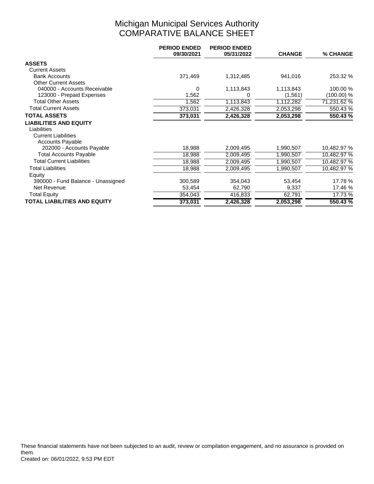# Michigan Municipal Services Authority COMPARATIVE BALANCE SHEET

|                                    | <b>PERIOD ENDED</b><br>09/30/2021 | <b>PERIOD ENDED</b><br>05/31/2022 | <b>CHANGE</b> | % CHANGE    |
|------------------------------------|-----------------------------------|-----------------------------------|---------------|-------------|
| <b>ASSETS</b>                      |                                   |                                   |               |             |
| <b>Current Assets</b>              |                                   |                                   |               |             |
| <b>Bank Accounts</b>               | 371,469                           | 1,312,485                         | 941,016       | 253.32 %    |
| <b>Other Current Assets</b>        |                                   |                                   |               |             |
| 040000 - Accounts Receivable       | 0                                 | 1,113,843                         | 1,113,843     | 100.00 %    |
| 123000 - Prepaid Expenses          | 1,562                             |                                   | (1,561)       | (100.00) %  |
| <b>Total Other Assets</b>          | 1,562                             | 1,113,843                         | 1, 112, 282   | 71,231.62 % |
| <b>Total Current Assets</b>        | 373,031                           | 2,426,328                         | 2,053,298     | 550.43 %    |
| <b>TOTAL ASSETS</b>                | 373,031                           | 2,426,328                         | 2,053,298     | 550.43 %    |
| <b>LIABILITIES AND EQUITY</b>      |                                   |                                   |               |             |
| Liabilities                        |                                   |                                   |               |             |
| <b>Current Liabilities</b>         |                                   |                                   |               |             |
| <b>Accounts Payable</b>            |                                   |                                   |               |             |
| 202000 - Accounts Payable          | 18,988                            | 2,009,495                         | 1,990,507     | 10,482.97 % |
| <b>Total Accounts Payable</b>      | 18,988                            | 2,009,495                         | 1,990,507     | 10,482.97 % |
| <b>Total Current Liabilities</b>   | 18,988                            | 2,009,495                         | 1,990,507     | 10,482.97 % |
| <b>Total Liabilities</b>           | 18,988                            | 2,009,495                         | 1,990,507     | 10,482.97 % |
| Equity                             |                                   |                                   |               |             |
| 390000 - Fund Balance - Unassigned | 300,589                           | 354,043                           | 53,454        | 17.78 %     |
| Net Revenue                        | 53,454                            | 62,790                            | 9,337         | 17.46 %     |
| <b>Total Equity</b>                | 354,043                           | 416,833                           | 62,791        | 17.73 %     |
| TOTAL LIABILITIES AND EQUITY       | 373,031                           | 2,426,328                         | 2,053,298     | 550.43 %    |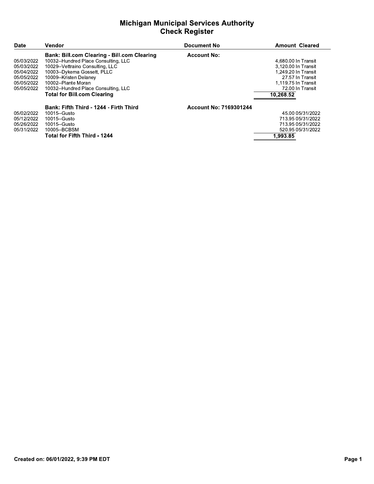### Michigan Municipal Services Authority **Check Register**

| <b>Michigan Municipal Services Authority</b><br><b>Check Register</b>            |                                                                                                                                                                                                                                                                                              |                        |                                                                                                                                               |  |
|----------------------------------------------------------------------------------|----------------------------------------------------------------------------------------------------------------------------------------------------------------------------------------------------------------------------------------------------------------------------------------------|------------------------|-----------------------------------------------------------------------------------------------------------------------------------------------|--|
| <b>Date</b>                                                                      | Vendor                                                                                                                                                                                                                                                                                       | <b>Document No</b>     | <b>Amount Cleared</b>                                                                                                                         |  |
| 05/03/2022<br>05/03/2022<br>05/04/2022<br>05/05/2022<br>05/05/2022<br>05/05/2022 | <b>Bank: Bill.com Clearing - Bill.com Clearing</b><br>10032--Hundred Place Consulting, LLC<br>10029--Vettraino Consulting, LLC<br>10003--Dykema Gossett, PLLC<br>10009--Kristen Delaney<br>10002--Plante Moran<br>10032--Hundred Place Consulting, LLC<br><b>Total for Bill.com Clearing</b> | <b>Account No:</b>     | 4,680.00 In Transit<br>3,120.00 In Transit<br>1,249.20 In Transit<br>27.57 In Transit<br>1,119.75 In Transit<br>72.00 In Transit<br>10,268.52 |  |
| 05/02/2022<br>05/12/2022<br>05/26/2022<br>05/31/2022                             | Bank: Fifth Third - 1244 - Firth Third<br>10015-Gusto<br>10015-Gusto<br>10015-Gusto<br>10005--BCBSM<br><b>Total for Fifth Third - 1244</b>                                                                                                                                                   | Account No: 7169301244 | 45.00 05/31/2022<br>713.95 05/31/2022<br>713.95 05/31/2022<br>520.95 05/31/2022<br>1.993.85                                                   |  |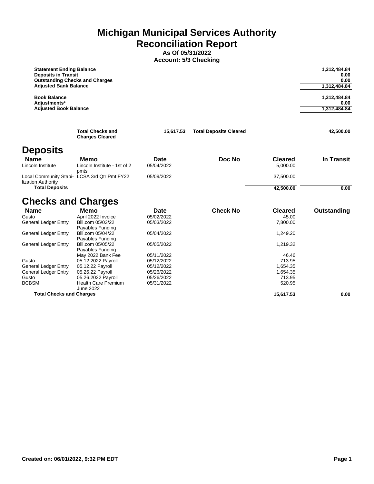**Michigan Municipal Services Authority Reconciliation Report**

> **As Of 05/31/2022 Account: 5/3 Checking**

| <b>Statement Ending Balance</b><br><b>Deposits in Transit</b><br><b>Outstanding Checks and Charges</b><br><b>Adjusted Bank Balance</b> |                                                   |             |                               |                | 1,312,484.84<br>0.00<br>0.00<br>1,312,484.84 |
|----------------------------------------------------------------------------------------------------------------------------------------|---------------------------------------------------|-------------|-------------------------------|----------------|----------------------------------------------|
| <b>Book Balance</b><br>Adjustments*                                                                                                    |                                                   |             |                               |                | 1,312,484.84<br>0.00                         |
| <b>Adjusted Book Balance</b>                                                                                                           |                                                   |             |                               |                | 1,312,484.84                                 |
|                                                                                                                                        | <b>Total Checks and</b><br><b>Charges Cleared</b> | 15,617.53   | <b>Total Deposits Cleared</b> |                | 42,500.00                                    |
| <b>Deposits</b>                                                                                                                        |                                                   |             |                               |                |                                              |
| <b>Name</b>                                                                                                                            | Memo                                              | <b>Date</b> | Doc No                        | <b>Cleared</b> | In Transit                                   |
| Lincoln Institute                                                                                                                      | Lincoln Institute - 1st of 2                      | 05/04/2022  |                               | 5,000.00       |                                              |
| <b>Local Community Stabi-</b><br>lization Authority                                                                                    | pmts<br>LCSA 3rd Qtr Pmt FY22                     | 05/09/2022  |                               | 37,500.00      |                                              |
| <b>Total Deposits</b>                                                                                                                  |                                                   |             |                               | 42,500.00      | 0.00                                         |
| <b>Checks and Charges</b>                                                                                                              |                                                   |             |                               |                |                                              |
| <b>Name</b>                                                                                                                            | Memo                                              | Date        | <b>Check No</b>               | <b>Cleared</b> | Outstanding                                  |
| Gusto                                                                                                                                  | April 2022 Invoice                                | 05/02/2022  |                               | 45.00          |                                              |
| General Ledger Entry                                                                                                                   | Bill.com 05/03/22                                 | 05/03/2022  |                               | 7,800.00       |                                              |

| <b>Total Checks and Charges</b> |                                       |            | 15.617.53 | 0.00 |
|---------------------------------|---------------------------------------|------------|-----------|------|
|                                 | June 2022                             |            |           |      |
| <b>BCBSM</b>                    | <b>Health Care Premium</b>            | 05/31/2022 | 520.95    |      |
| Gusto                           | 05.26.2022 Payroll                    | 05/26/2022 | 713.95    |      |
| <b>General Ledger Entry</b>     | 05.26.22 Payroll                      | 05/26/2022 | 1,654.35  |      |
| General Ledger Entry            | 05.12.22 Payroll                      | 05/12/2022 | 1,654.35  |      |
| Gusto                           | 05.12.2022 Payroll                    | 05/12/2022 | 713.95    |      |
|                                 | May 2022 Bank Fee                     | 05/11/2022 | 46.46     |      |
|                                 | Payables Funding                      |            |           |      |
| General Ledger Entry            | Bill.com 05/05/22                     | 05/05/2022 | 1,219.32  |      |
|                                 | Payables Funding                      |            |           |      |
| General Ledger Entry            | Payables Funding<br>Bill.com 05/04/22 | 05/04/2022 | 1,249.20  |      |
| General Ledger Entry            | Bill.com 05/03/22                     | 05/03/2022 | 7,800.00  |      |